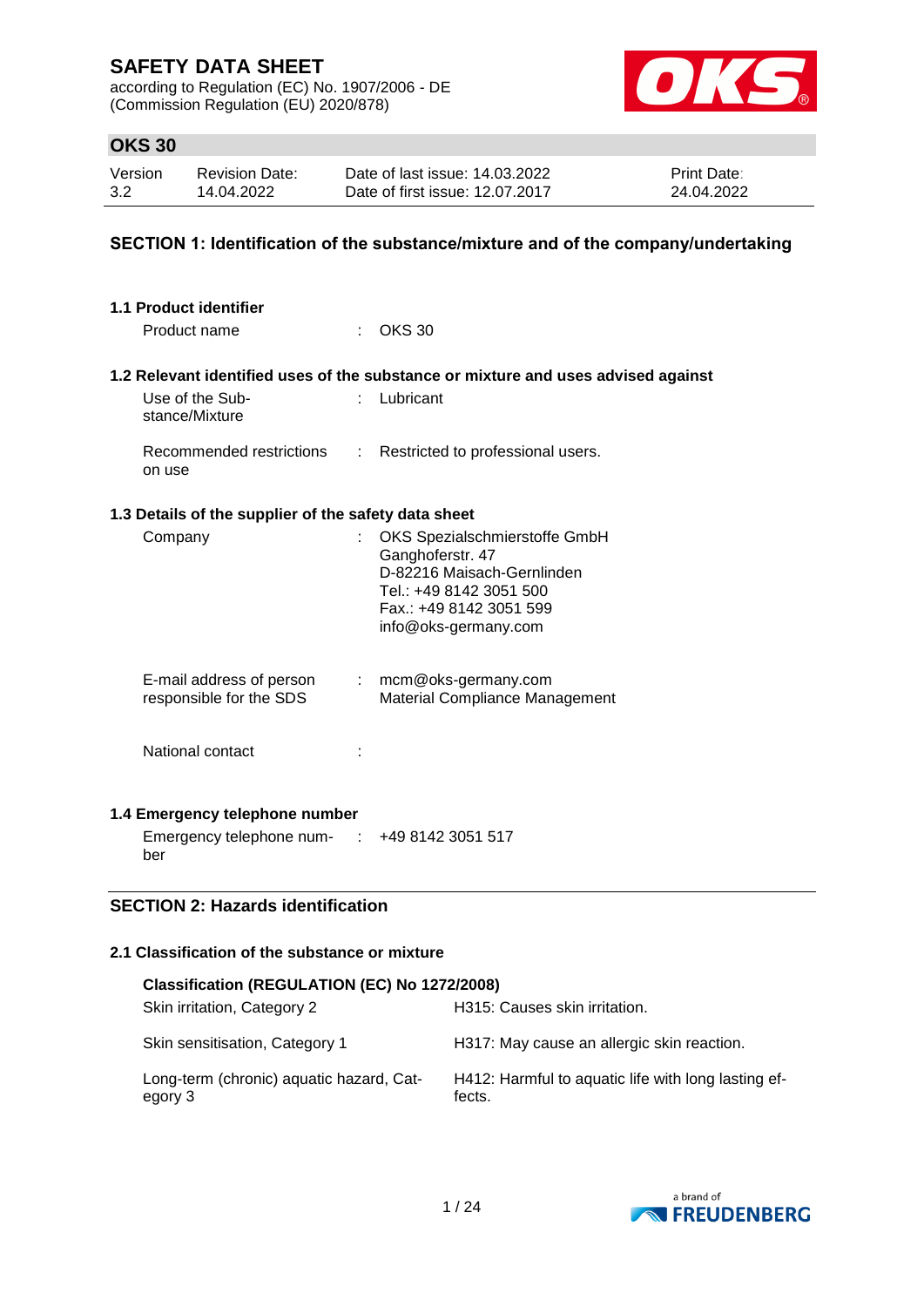according to Regulation (EC) No. 1907/2006 - DE (Commission Regulation (EU) 2020/878)



## **OKS 30**

| Version | <b>Revision Date:</b> | Date of last issue: 14.03.2022  | <b>Print Date:</b> |
|---------|-----------------------|---------------------------------|--------------------|
| 3.2     | 14.04.2022            | Date of first issue: 12.07.2017 | 24.04.2022         |

### **SECTION 1: Identification of the substance/mixture and of the company/undertaking**

| 1.1 Product identifier                                         |                                                                                                                                                               |
|----------------------------------------------------------------|---------------------------------------------------------------------------------------------------------------------------------------------------------------|
| Product name                                                   | <b>OKS 30</b>                                                                                                                                                 |
|                                                                | 1.2 Relevant identified uses of the substance or mixture and uses advised against                                                                             |
| Use of the Sub-<br>stance/Mixture                              | Lubricant                                                                                                                                                     |
| Recommended restrictions<br>on use                             | : Restricted to professional users.                                                                                                                           |
| 1.3 Details of the supplier of the safety data sheet           |                                                                                                                                                               |
| Company                                                        | OKS Spezialschmierstoffe GmbH<br>Ganghoferstr. 47<br>D-82216 Maisach-Gernlinden<br>Tel.: +49 8142 3051 500<br>Fax.: +49 8142 3051 599<br>info@oks-germany.com |
| E-mail address of person<br>responsible for the SDS            | $:$ mcm@oks-germany.com<br>Material Compliance Management                                                                                                     |
| National contact                                               |                                                                                                                                                               |
| 1.4 Emergency telephone number                                 |                                                                                                                                                               |
| Emergency telephone num- $\therefore$ +49 8142 3051 517<br>ber |                                                                                                                                                               |

## **SECTION 2: Hazards identification**

## **2.1 Classification of the substance or mixture**

| Classification (REGULATION (EC) No 1272/2008)       |                                                               |  |  |  |
|-----------------------------------------------------|---------------------------------------------------------------|--|--|--|
| Skin irritation, Category 2                         | H315: Causes skin irritation.                                 |  |  |  |
| Skin sensitisation, Category 1                      | H317: May cause an allergic skin reaction.                    |  |  |  |
| Long-term (chronic) aquatic hazard, Cat-<br>egory 3 | H412: Harmful to aquatic life with long lasting ef-<br>fects. |  |  |  |

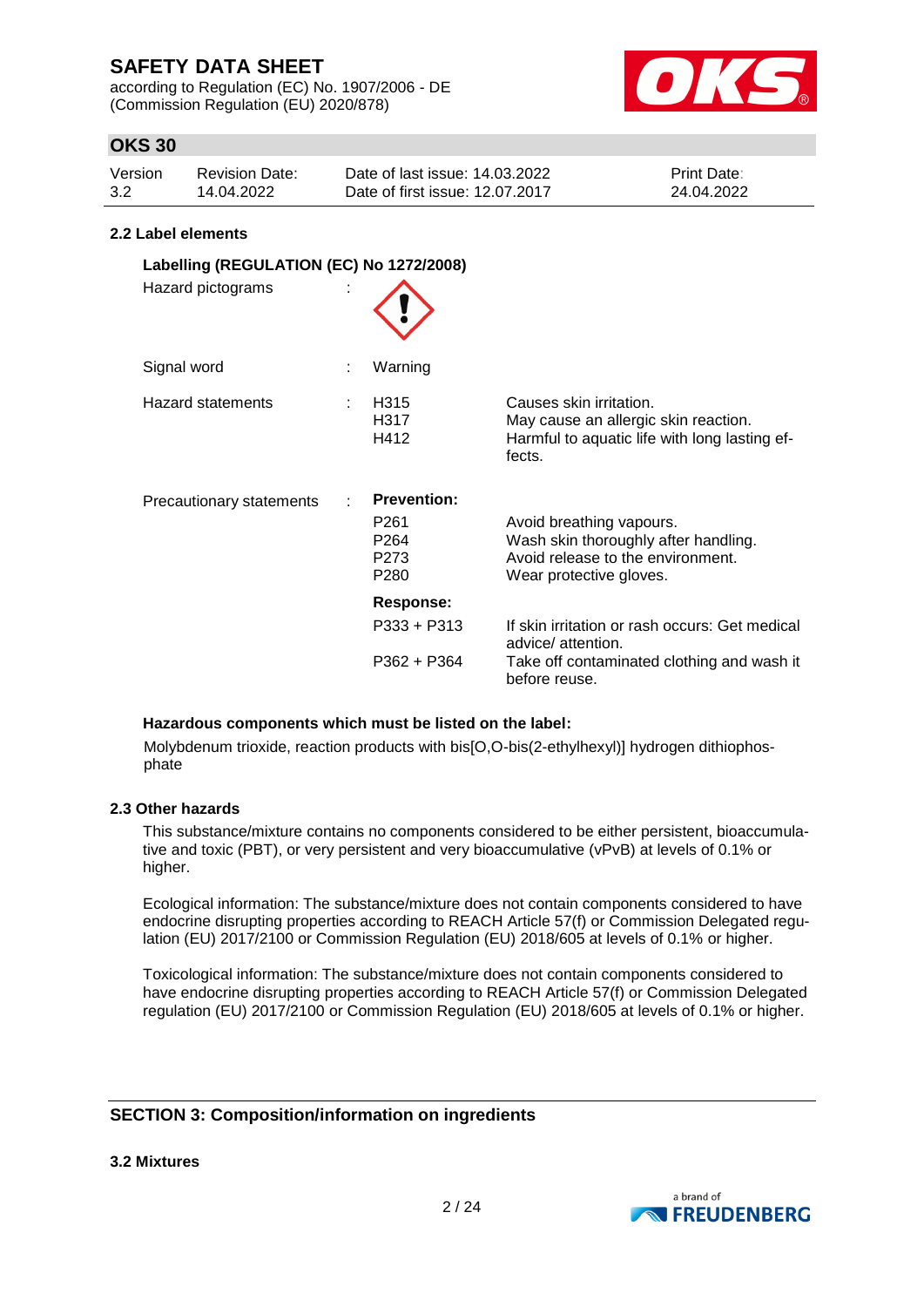according to Regulation (EC) No. 1907/2006 - DE (Commission Regulation (EU) 2020/878)



## **OKS 30**

| Version | Revision Date: | Date of last issue: 14.03.2022  | <b>Print Date:</b> |
|---------|----------------|---------------------------------|--------------------|
| 3.2     | 14.04.2022     | Date of first issue: 12.07.2017 | 24.04.2022         |

#### **2.2 Label elements**

| Labelling (REGULATION (EC) No 1272/2008)<br>Hazard pictograms |                                                                                                    |                                                                                                                                  |
|---------------------------------------------------------------|----------------------------------------------------------------------------------------------------|----------------------------------------------------------------------------------------------------------------------------------|
| Signal word                                                   | Warning                                                                                            |                                                                                                                                  |
| Hazard statements                                             | H <sub>315</sub><br>H317<br>H412                                                                   | Causes skin irritation.<br>May cause an allergic skin reaction.<br>Harmful to aquatic life with long lasting ef-<br>fects.       |
| Precautionary statements                                      | <b>Prevention:</b><br>P <sub>261</sub><br>P <sub>264</sub><br>P <sub>273</sub><br>P <sub>280</sub> | Avoid breathing vapours.<br>Wash skin thoroughly after handling.<br>Avoid release to the environment.<br>Wear protective gloves. |
|                                                               | Response:                                                                                          |                                                                                                                                  |
|                                                               | $P333 + P313$                                                                                      | If skin irritation or rash occurs: Get medical<br>advice/ attention.                                                             |
|                                                               | $P362 + P364$                                                                                      | Take off contaminated clothing and wash it<br>before reuse.                                                                      |

#### **Hazardous components which must be listed on the label:**

Molybdenum trioxide, reaction products with bis[O,O-bis(2-ethylhexyl)] hydrogen dithiophosphate

### **2.3 Other hazards**

This substance/mixture contains no components considered to be either persistent, bioaccumulative and toxic (PBT), or very persistent and very bioaccumulative (vPvB) at levels of 0.1% or higher.

Ecological information: The substance/mixture does not contain components considered to have endocrine disrupting properties according to REACH Article 57(f) or Commission Delegated regulation (EU) 2017/2100 or Commission Regulation (EU) 2018/605 at levels of 0.1% or higher.

Toxicological information: The substance/mixture does not contain components considered to have endocrine disrupting properties according to REACH Article 57(f) or Commission Delegated regulation (EU) 2017/2100 or Commission Regulation (EU) 2018/605 at levels of 0.1% or higher.

## **SECTION 3: Composition/information on ingredients**

**3.2 Mixtures**

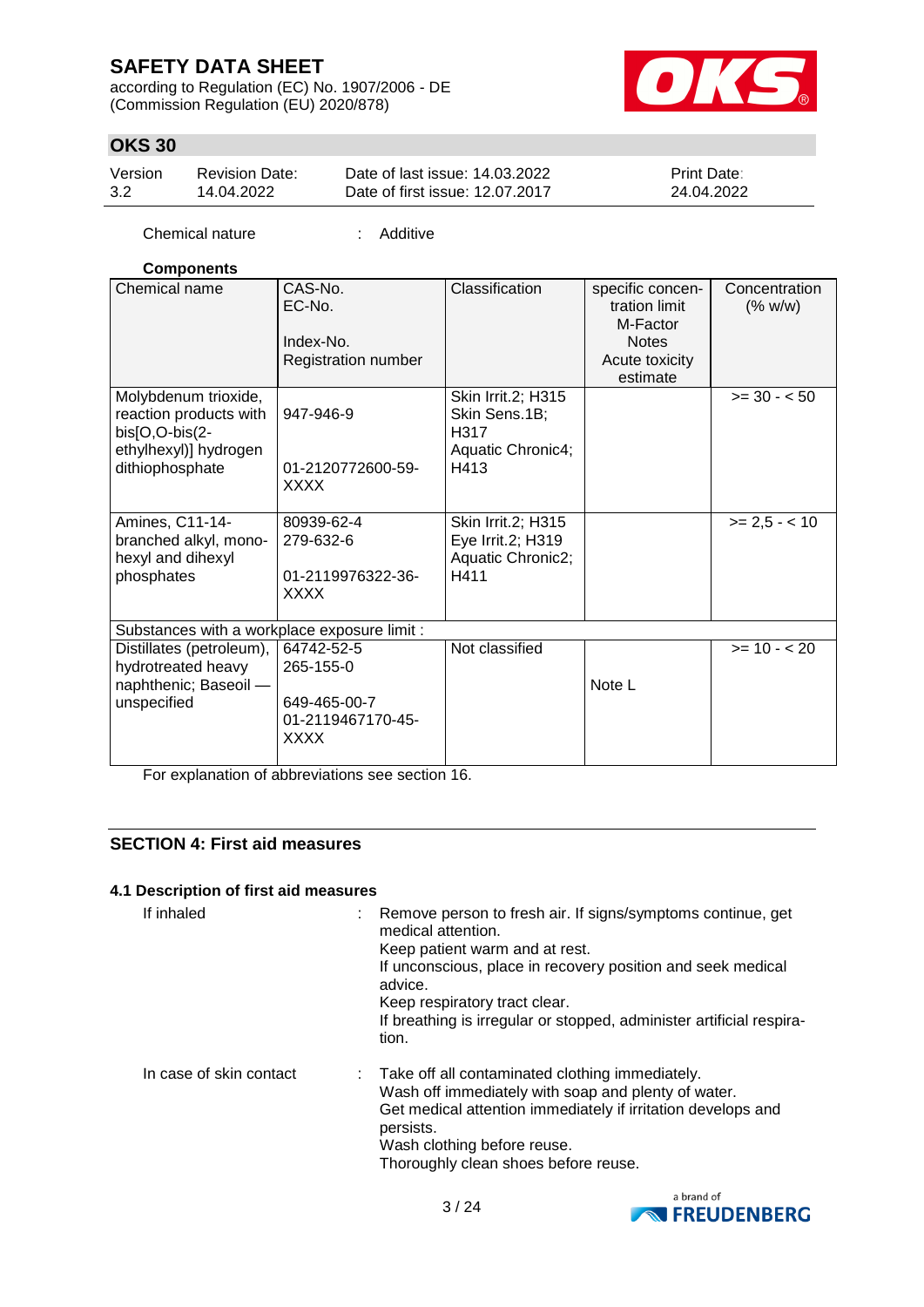according to Regulation (EC) No. 1907/2006 - DE (Commission Regulation (EU) 2020/878)



## **OKS 30**

| Version | <b>Revision Date:</b> | Date of last issue: 14.03.2022  | <b>Print Date:</b> |
|---------|-----------------------|---------------------------------|--------------------|
| 3.2     | 14.04.2022            | Date of first issue: 12.07.2017 | 24.04.2022         |

Chemical nature : Additive

### **Components**

| Chemical name                                                                                                | CAS-No.<br>EC-No.<br>Index-No.<br>Registration number                       | Classification                                                           | specific concen-<br>tration limit<br>M-Factor<br><b>Notes</b><br>Acute toxicity<br>estimate | Concentration<br>(% w/w) |
|--------------------------------------------------------------------------------------------------------------|-----------------------------------------------------------------------------|--------------------------------------------------------------------------|---------------------------------------------------------------------------------------------|--------------------------|
| Molybdenum trioxide,<br>reaction products with<br>bis[O,O-bis(2-<br>ethylhexyl)] hydrogen<br>dithiophosphate | 947-946-9<br>01-2120772600-59-<br><b>XXXX</b>                               | Skin Irrit.2; H315<br>Skin Sens.1B;<br>H317<br>Aquatic Chronic4;<br>H413 |                                                                                             | $>= 30 - 50$             |
| Amines, C11-14-<br>branched alkyl, mono-<br>hexyl and dihexyl<br>phosphates                                  | 80939-62-4<br>279-632-6<br>01-2119976322-36-<br>XXXX                        | Skin Irrit.2; H315<br>Eye Irrit.2; H319<br>Aquatic Chronic2;<br>H411     |                                                                                             | $>= 2,5 - < 10$          |
| Substances with a workplace exposure limit :                                                                 |                                                                             |                                                                          |                                                                                             |                          |
| Distillates (petroleum),<br>hydrotreated heavy<br>naphthenic; Baseoil -<br>unspecified                       | 64742-52-5<br>265-155-0<br>649-465-00-7<br>01-2119467170-45-<br><b>XXXX</b> | Not classified                                                           | Note L                                                                                      | $>= 10 - 20$             |

For explanation of abbreviations see section 16.

## **SECTION 4: First aid measures**

### **4.1 Description of first aid measures**

| If inhaled              | Remove person to fresh air. If signs/symptoms continue, get<br>medical attention.<br>Keep patient warm and at rest.<br>If unconscious, place in recovery position and seek medical<br>advice.<br>Keep respiratory tract clear.<br>If breathing is irregular or stopped, administer artificial respira-<br>tion. |  |
|-------------------------|-----------------------------------------------------------------------------------------------------------------------------------------------------------------------------------------------------------------------------------------------------------------------------------------------------------------|--|
| In case of skin contact | : Take off all contaminated clothing immediately.<br>Wash off immediately with soap and plenty of water.<br>Get medical attention immediately if irritation develops and<br>persists.<br>Wash clothing before reuse.<br>Thoroughly clean shoes before reuse.                                                    |  |

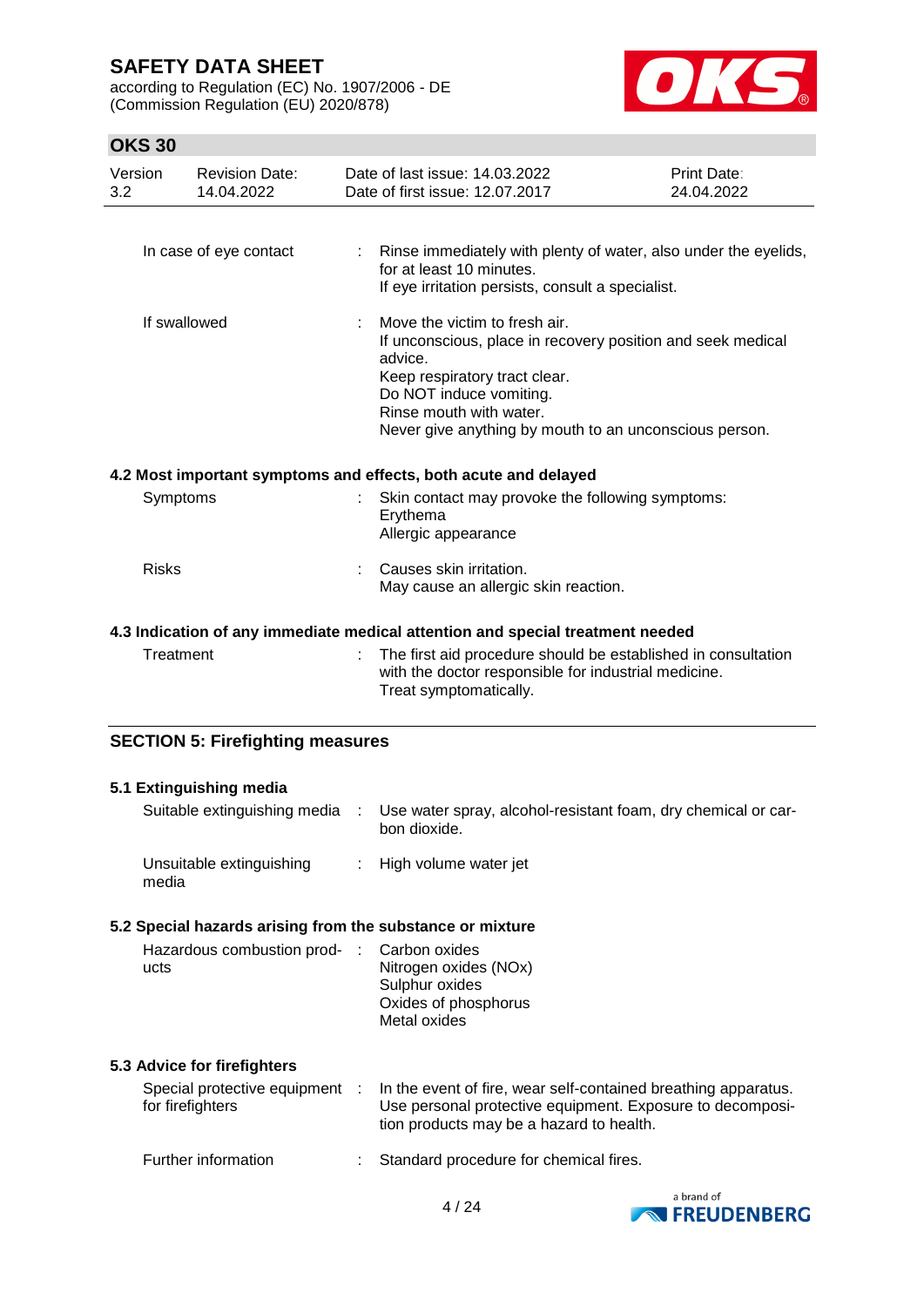according to Regulation (EC) No. 1907/2006 - DE (Commission Regulation (EU) 2020/878)



## **OKS 30**

| Version<br>3.2 | <b>Revision Date:</b><br>14.04.2022     | Date of last issue: 14.03.2022<br>Date of first issue: 12.07.2017                                                                                                                                                                                        | Print Date:<br>24.04.2022 |
|----------------|-----------------------------------------|----------------------------------------------------------------------------------------------------------------------------------------------------------------------------------------------------------------------------------------------------------|---------------------------|
|                | In case of eye contact                  | : Rinse immediately with plenty of water, also under the eyelids,<br>for at least 10 minutes.<br>If eye irritation persists, consult a specialist.                                                                                                       |                           |
|                | If swallowed                            | Move the victim to fresh air.<br>If unconscious, place in recovery position and seek medical<br>advice.<br>Keep respiratory tract clear.<br>Do NOT induce vomiting.<br>Rinse mouth with water.<br>Never give anything by mouth to an unconscious person. |                           |
|                |                                         | 4.2 Most important symptoms and effects, both acute and delayed                                                                                                                                                                                          |                           |
|                | Symptoms                                | Skin contact may provoke the following symptoms:<br>Erythema<br>Allergic appearance                                                                                                                                                                      |                           |
| <b>Risks</b>   |                                         | Causes skin irritation.<br>May cause an allergic skin reaction.                                                                                                                                                                                          |                           |
|                |                                         | 4.3 Indication of any immediate medical attention and special treatment needed                                                                                                                                                                           |                           |
|                | Treatment                               | The first aid procedure should be established in consultation<br>with the doctor responsible for industrial medicine.<br>Treat symptomatically.                                                                                                          |                           |
|                | <b>SECTION 5: Firefighting measures</b> |                                                                                                                                                                                                                                                          |                           |

### **5.1 Extinguishing media** Suitable extinguishing media : Use water spray, alcohol-resistant foam, dry chemical or carbon dioxide. Unsuitable extinguishing media : High volume water jet **5.2 Special hazards arising from the substance or mixture** Hazardous combustion prod- : ucts Carbon oxides Nitrogen oxides (NOx) Sulphur oxides Oxides of phosphorus Metal oxides **5.3 Advice for firefighters** Special protective equipment : for firefighters : In the event of fire, wear self-contained breathing apparatus. Use personal protective equipment. Exposure to decomposition products may be a hazard to health. Further information : Standard procedure for chemical fires.

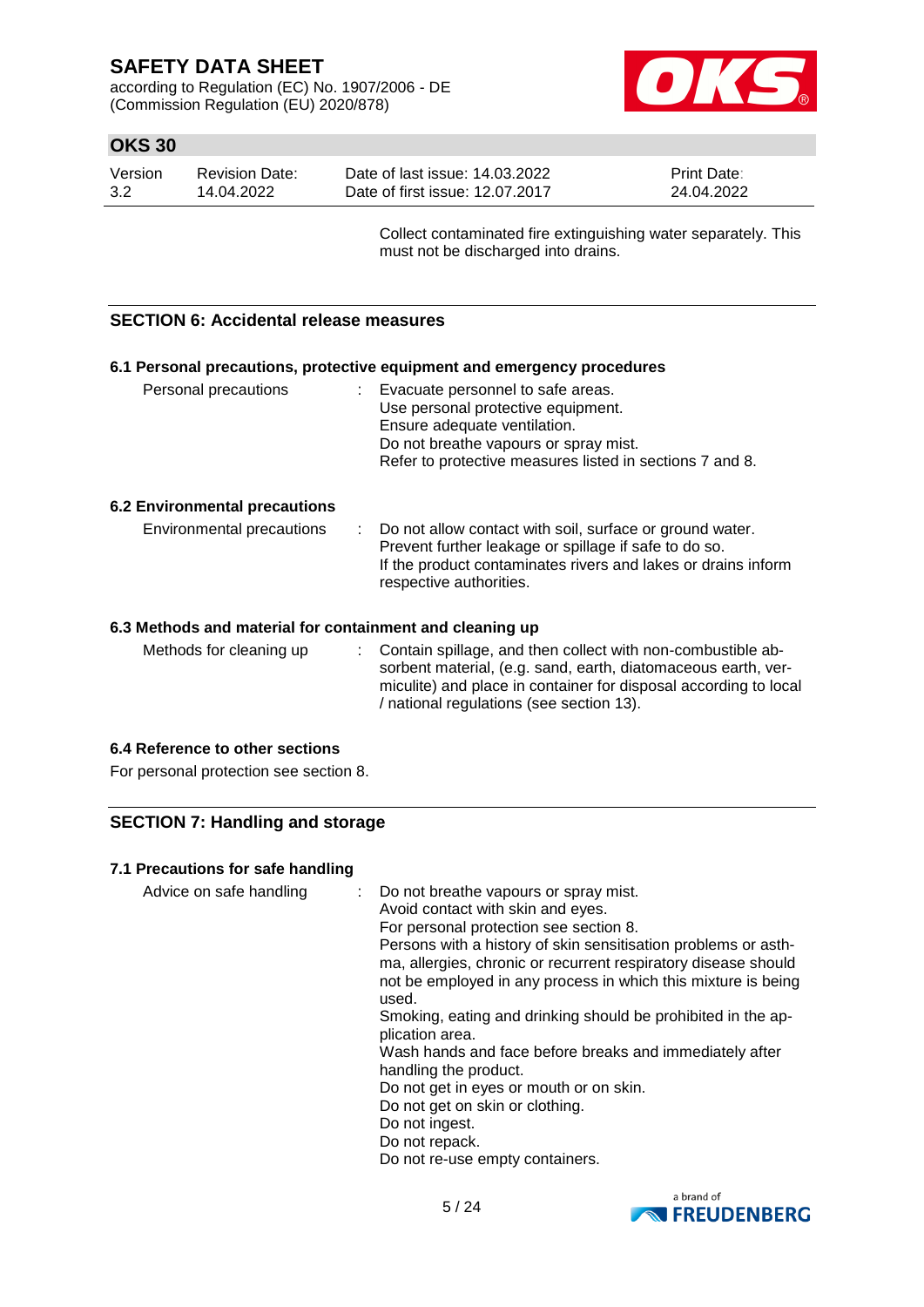according to Regulation (EC) No. 1907/2006 - DE (Commission Regulation (EU) 2020/878)



## **OKS 30**

| Version | Revision Date: | Date of last issue: 14.03.2022  | <b>Print Date:</b> |
|---------|----------------|---------------------------------|--------------------|
| 3.2     | 14.04.2022     | Date of first issue: 12.07.2017 | 24.04.2022         |

Collect contaminated fire extinguishing water separately. This must not be discharged into drains.

### **SECTION 6: Accidental release measures**

| 6.1 Personal precautions, protective equipment and emergency procedures                                                                                                                                                                      |  |                                                                                                                                                                                                                |  |  |  |
|----------------------------------------------------------------------------------------------------------------------------------------------------------------------------------------------------------------------------------------------|--|----------------------------------------------------------------------------------------------------------------------------------------------------------------------------------------------------------------|--|--|--|
| Personal precautions                                                                                                                                                                                                                         |  | : Evacuate personnel to safe areas.<br>Use personal protective equipment.<br>Ensure adequate ventilation.<br>Do not breathe vapours or spray mist.<br>Refer to protective measures listed in sections 7 and 8. |  |  |  |
| <b>6.2 Environmental precautions</b>                                                                                                                                                                                                         |  |                                                                                                                                                                                                                |  |  |  |
| Environmental precautions<br>: Do not allow contact with soil, surface or ground water.<br>Prevent further leakage or spillage if safe to do so.<br>If the product contaminates rivers and lakes or drains inform<br>respective authorities. |  |                                                                                                                                                                                                                |  |  |  |
| 6.3 Methods and material for containment and cleaning up                                                                                                                                                                                     |  |                                                                                                                                                                                                                |  |  |  |

Methods for cleaning up : Contain spillage, and then collect with non-combustible absorbent material, (e.g. sand, earth, diatomaceous earth, vermiculite) and place in container for disposal according to local / national regulations (see section 13).

### **6.4 Reference to other sections**

For personal protection see section 8.

## **SECTION 7: Handling and storage**

### **7.1 Precautions for safe handling**

Advice on safe handling : Do not breathe vapours or spray mist. Avoid contact with skin and eyes. For personal protection see section 8. Persons with a history of skin sensitisation problems or asthma, allergies, chronic or recurrent respiratory disease should not be employed in any process in which this mixture is being used. Smoking, eating and drinking should be prohibited in the application area. Wash hands and face before breaks and immediately after handling the product. Do not get in eyes or mouth or on skin. Do not get on skin or clothing. Do not ingest. Do not repack. Do not re-use empty containers.

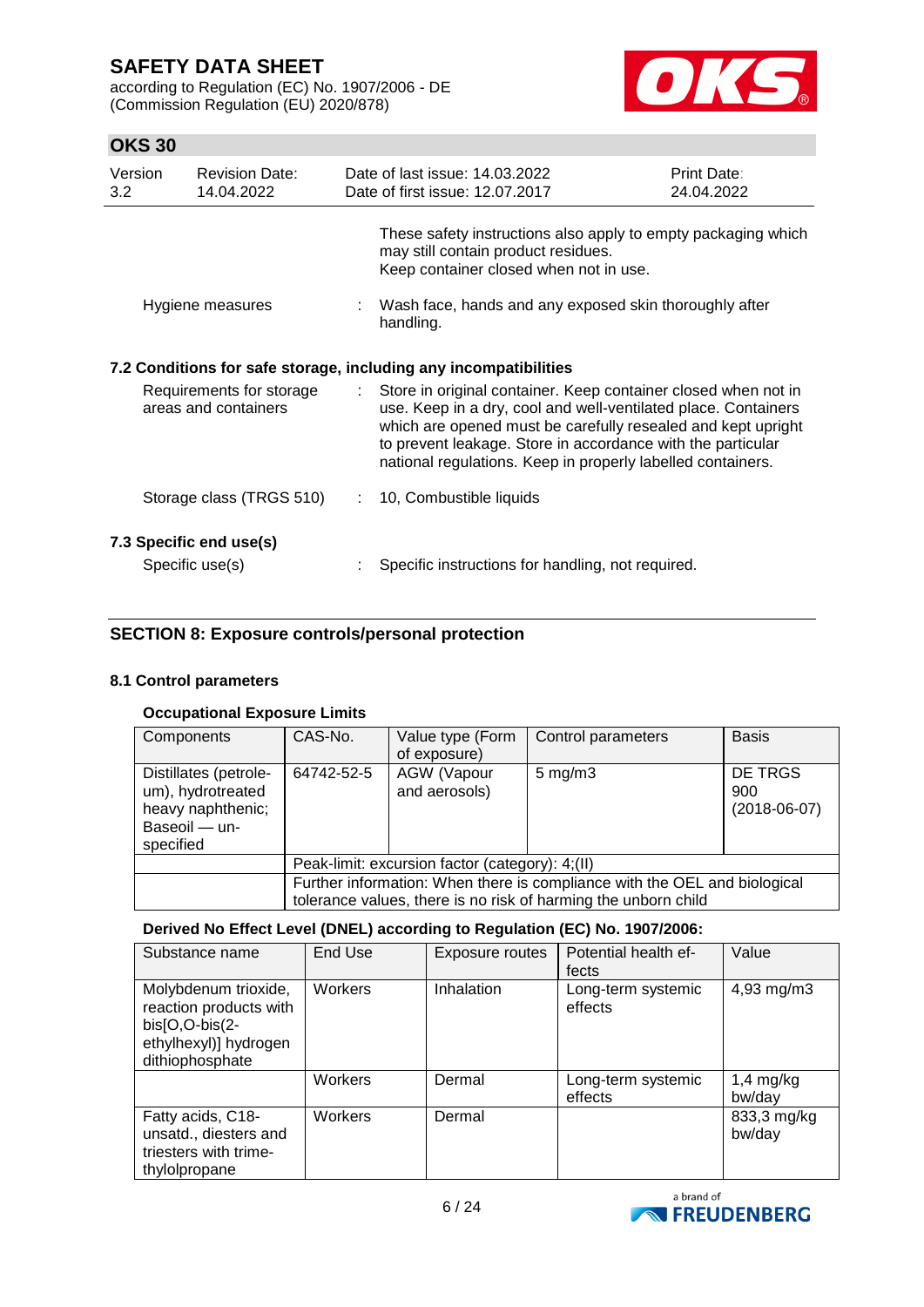according to Regulation (EC) No. 1907/2006 - DE (Commission Regulation (EU) 2020/878)



## **OKS 30**

| Version<br>3.2 | <b>Revision Date:</b><br>14.04.2022              |                           | Date of last issue: 14.03.2022<br>Date of first issue: 12.07.2017                                                                                                                                                                                                                                                              | Print Date:<br>24.04.2022 |
|----------------|--------------------------------------------------|---------------------------|--------------------------------------------------------------------------------------------------------------------------------------------------------------------------------------------------------------------------------------------------------------------------------------------------------------------------------|---------------------------|
|                |                                                  |                           | These safety instructions also apply to empty packaging which<br>may still contain product residues.<br>Keep container closed when not in use.                                                                                                                                                                                 |                           |
|                | Hygiene measures                                 |                           | Wash face, hands and any exposed skin thoroughly after<br>handling.                                                                                                                                                                                                                                                            |                           |
|                |                                                  |                           | 7.2 Conditions for safe storage, including any incompatibilities                                                                                                                                                                                                                                                               |                           |
|                | Requirements for storage<br>areas and containers | $\mathbb{R}^{\mathbb{Z}}$ | Store in original container. Keep container closed when not in<br>use. Keep in a dry, cool and well-ventilated place. Containers<br>which are opened must be carefully resealed and kept upright<br>to prevent leakage. Store in accordance with the particular<br>national regulations. Keep in properly labelled containers. |                           |
|                | Storage class (TRGS 510)                         |                           | 10, Combustible liquids                                                                                                                                                                                                                                                                                                        |                           |
|                | 7.3 Specific end use(s)                          |                           |                                                                                                                                                                                                                                                                                                                                |                           |
|                | Specific use(s)                                  |                           | Specific instructions for handling, not required.                                                                                                                                                                                                                                                                              |                           |

## **SECTION 8: Exposure controls/personal protection**

### **8.1 Control parameters**

### **Occupational Exposure Limits**

| Components                                                                                    | CAS-No.                                                                                                                                     | Value type (Form<br>of exposure)    | Control parameters | <b>Basis</b>                     |
|-----------------------------------------------------------------------------------------------|---------------------------------------------------------------------------------------------------------------------------------------------|-------------------------------------|--------------------|----------------------------------|
| Distillates (petrole-<br>um), hydrotreated<br>heavy naphthenic;<br>Baseoil - un-<br>specified | 64742-52-5                                                                                                                                  | <b>AGW</b> (Vapour<br>and aerosols) | $5 \text{ mg/m}$ 3 | DE TRGS<br>900<br>$(2018-06-07)$ |
|                                                                                               | Peak-limit: excursion factor (category): 4;(II)                                                                                             |                                     |                    |                                  |
|                                                                                               | Further information: When there is compliance with the OEL and biological<br>tolerance values, there is no risk of harming the unborn child |                                     |                    |                                  |

### **Derived No Effect Level (DNEL) according to Regulation (EC) No. 1907/2006:**

| Substance name                                                                                               | End Use        | Exposure routes | Potential health ef-<br>fects | Value                 |
|--------------------------------------------------------------------------------------------------------------|----------------|-----------------|-------------------------------|-----------------------|
| Molybdenum trioxide,<br>reaction products with<br>bis[O,O-bis(2-<br>ethylhexyl)] hydrogen<br>dithiophosphate | <b>Workers</b> | Inhalation      | Long-term systemic<br>effects | 4,93 mg/m3            |
|                                                                                                              | Workers        | Dermal          | Long-term systemic<br>effects | $1,4$ mg/kg<br>bw/day |
| Fatty acids, C18-<br>unsatd., diesters and<br>triesters with trime-<br>thylolpropane                         | Workers        | Dermal          |                               | 833,3 mg/kg<br>bw/day |

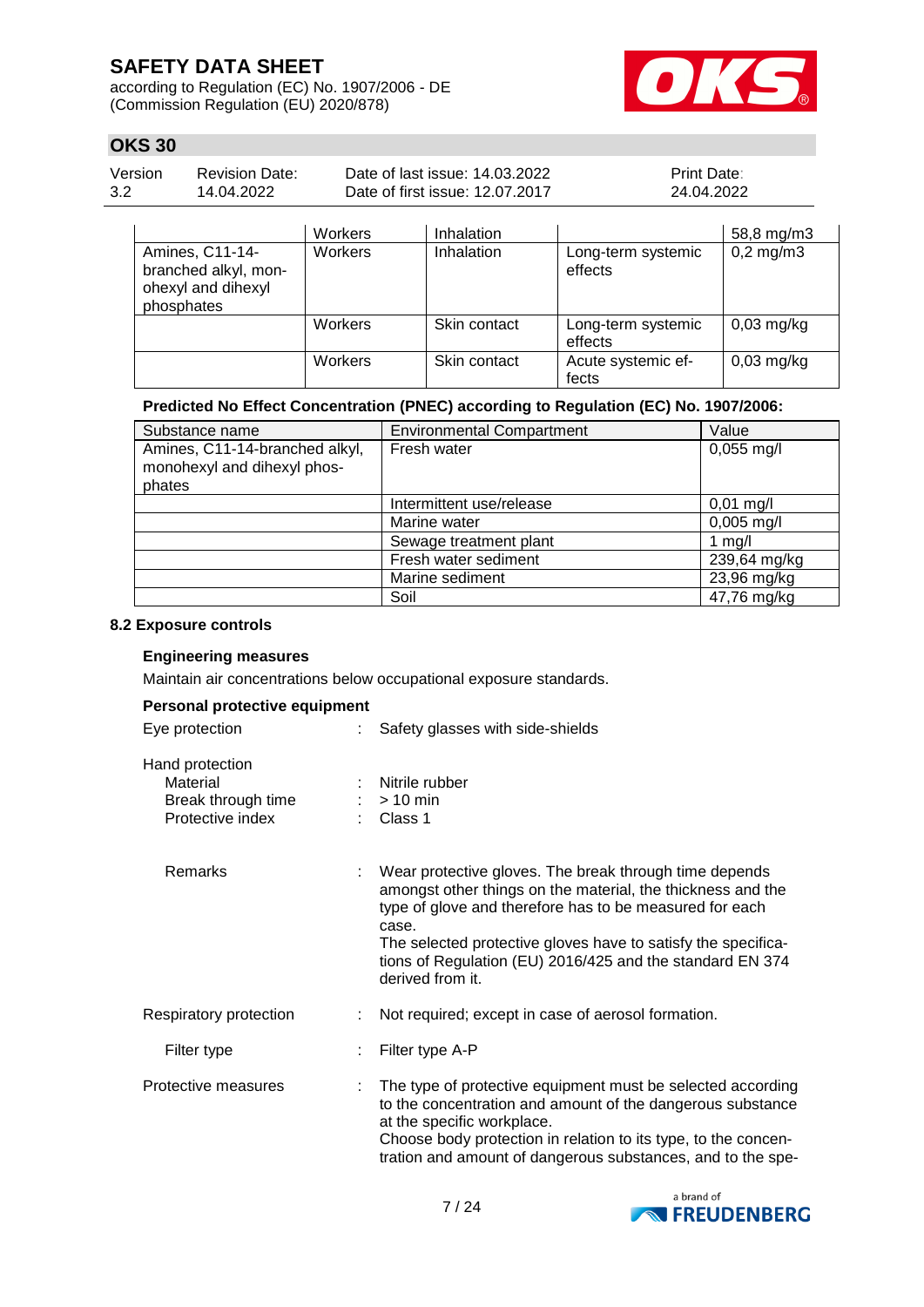according to Regulation (EC) No. 1907/2006 - DE (Commission Regulation (EU) 2020/878)



## **OKS 30**

| Version | <b>Revision Date:</b> | Date of last issue: 14.03.2022  | <b>Print Date:</b> |
|---------|-----------------------|---------------------------------|--------------------|
| 3.2     | 14.04.2022            | Date of first issue: 12.07.2017 | 24.04.2022         |
|         |                       |                                 |                    |

|                                                                             | Workers | Inhalation   |                               | 58,8 mg/m3     |
|-----------------------------------------------------------------------------|---------|--------------|-------------------------------|----------------|
| Amines, C11-14-<br>branched alkyl, mon-<br>ohexyl and dihexyl<br>phosphates | Workers | Inhalation   | Long-term systemic<br>effects | $0,2$ mg/m $3$ |
|                                                                             | Workers | Skin contact | Long-term systemic<br>effects | $0,03$ mg/kg   |
|                                                                             | Workers | Skin contact | Acute systemic ef-<br>fects   | $0,03$ mg/kg   |

### **Predicted No Effect Concentration (PNEC) according to Regulation (EC) No. 1907/2006:**

| Substance name                                                          | <b>Environmental Compartment</b> | Value                |
|-------------------------------------------------------------------------|----------------------------------|----------------------|
| Amines, C11-14-branched alkyl,<br>monohexyl and dihexyl phos-<br>phates | Fresh water                      | $0,055$ mg/l         |
|                                                                         | Intermittent use/release         | $0,01 \text{ mg/l}$  |
|                                                                         | Marine water                     | $0,005 \text{ mg/l}$ |
|                                                                         | Sewage treatment plant           | 1 $mg/l$             |
|                                                                         | Fresh water sediment             | 239,64 mg/kg         |
|                                                                         | Marine sediment                  | 23,96 mg/kg          |
|                                                                         | Soil                             | 47,76 mg/kg          |

#### **8.2 Exposure controls**

#### **Engineering measures**

Maintain air concentrations below occupational exposure standards.

#### **Personal protective equipment**

| Eye protection                                                        | : Safety glasses with side-shields                                                                                                                                                                                                                                                                                                          |
|-----------------------------------------------------------------------|---------------------------------------------------------------------------------------------------------------------------------------------------------------------------------------------------------------------------------------------------------------------------------------------------------------------------------------------|
| Hand protection<br>Material<br>Break through time<br>Protective index | Nitrile rubber<br>$:$ > 10 min<br>$\therefore$ Class 1                                                                                                                                                                                                                                                                                      |
| Remarks                                                               | Wear protective gloves. The break through time depends<br>amongst other things on the material, the thickness and the<br>type of glove and therefore has to be measured for each<br>case.<br>The selected protective gloves have to satisfy the specifica-<br>tions of Regulation (EU) 2016/425 and the standard EN 374<br>derived from it. |
| Respiratory protection                                                | Not required; except in case of aerosol formation.                                                                                                                                                                                                                                                                                          |
| Filter type                                                           | Filter type A-P                                                                                                                                                                                                                                                                                                                             |

#### Protective measures : The type of protective equipment must be selected according to the concentration and amount of the dangerous substance at the specific workplace. Choose body protection in relation to its type, to the concentration and amount of dangerous substances, and to the spe-

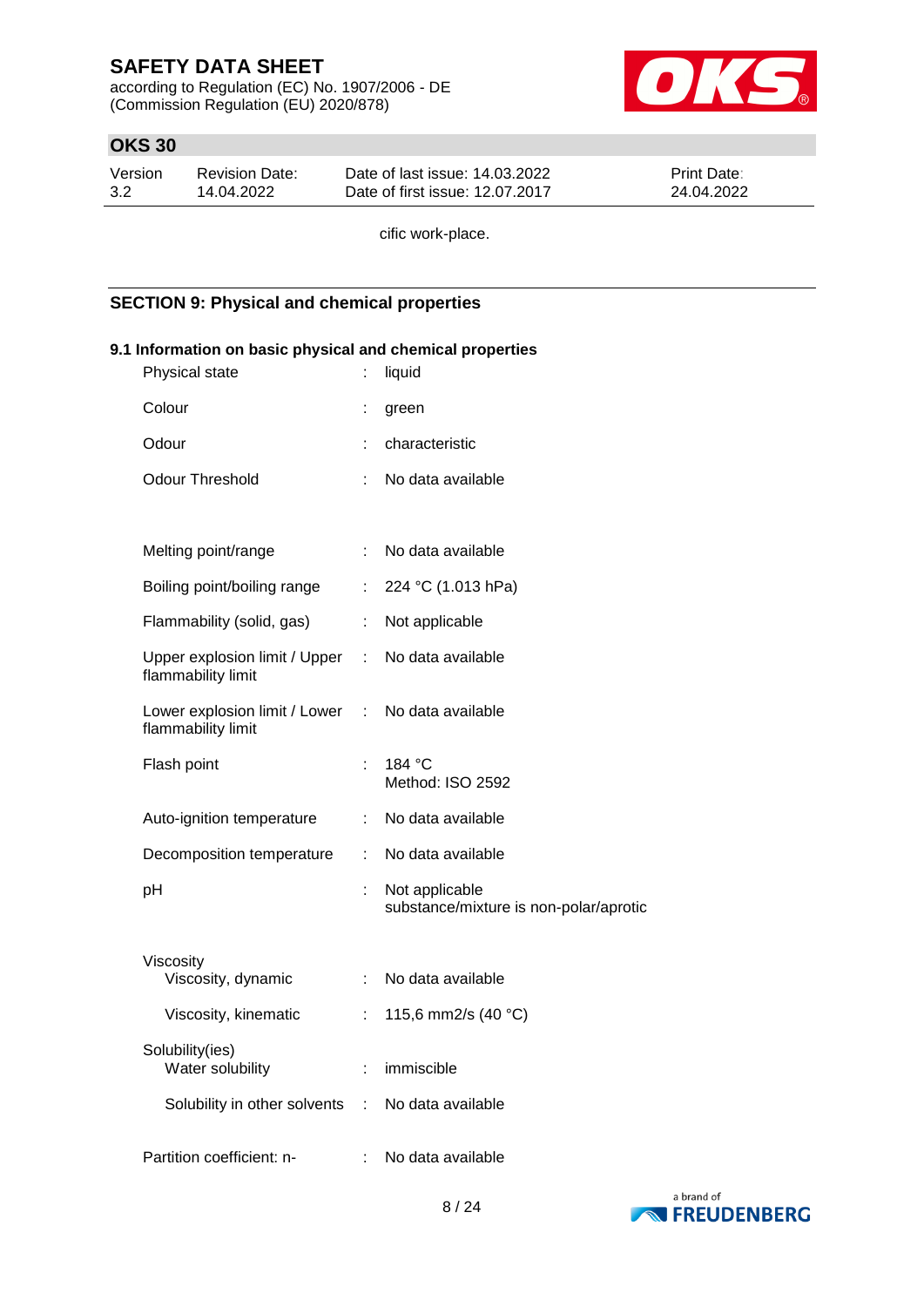according to Regulation (EC) No. 1907/2006 - DE (Commission Regulation (EU) 2020/878)



## **OKS 30**

| Version | Revision Date: | Date of last issue: 14.03.2022  | <b>Print Date:</b> |
|---------|----------------|---------------------------------|--------------------|
| 3.2     | 14.04.2022     | Date of first issue: 12.07.2017 | 24.04.2022         |

cific work-place.

### **SECTION 9: Physical and chemical properties**

| 9.1 Information on basic physical and chemical properties |                |                                                          |  |  |
|-----------------------------------------------------------|----------------|----------------------------------------------------------|--|--|
| Physical state                                            | ÷              | liquid                                                   |  |  |
| Colour                                                    |                | green                                                    |  |  |
| Odour                                                     | ÷              | characteristic                                           |  |  |
| <b>Odour Threshold</b>                                    | ÷              | No data available                                        |  |  |
|                                                           |                |                                                          |  |  |
| Melting point/range                                       |                | : No data available                                      |  |  |
| Boiling point/boiling range                               | $\mathbb{Z}^n$ | 224 °C (1.013 hPa)                                       |  |  |
| Flammability (solid, gas)                                 | ÷.             | Not applicable                                           |  |  |
| Upper explosion limit / Upper<br>flammability limit       |                | : No data available                                      |  |  |
| Lower explosion limit / Lower :<br>flammability limit     |                | No data available                                        |  |  |
| Flash point                                               |                | 184 °C<br>Method: ISO 2592                               |  |  |
| Auto-ignition temperature                                 |                | No data available                                        |  |  |
| Decomposition temperature                                 | ÷.             | No data available                                        |  |  |
| рH                                                        |                | Not applicable<br>substance/mixture is non-polar/aprotic |  |  |
| Viscosity                                                 |                |                                                          |  |  |
| Viscosity, dynamic                                        |                | : No data available                                      |  |  |
| Viscosity, kinematic                                      | $\mathbb{R}^n$ | 115,6 mm2/s (40 °C)                                      |  |  |
| Solubility(ies)<br>Water solubility                       | ÷              | immiscible                                               |  |  |
| Solubility in other solvents                              | ÷              | No data available                                        |  |  |
| Partition coefficient: n-                                 |                | No data available                                        |  |  |

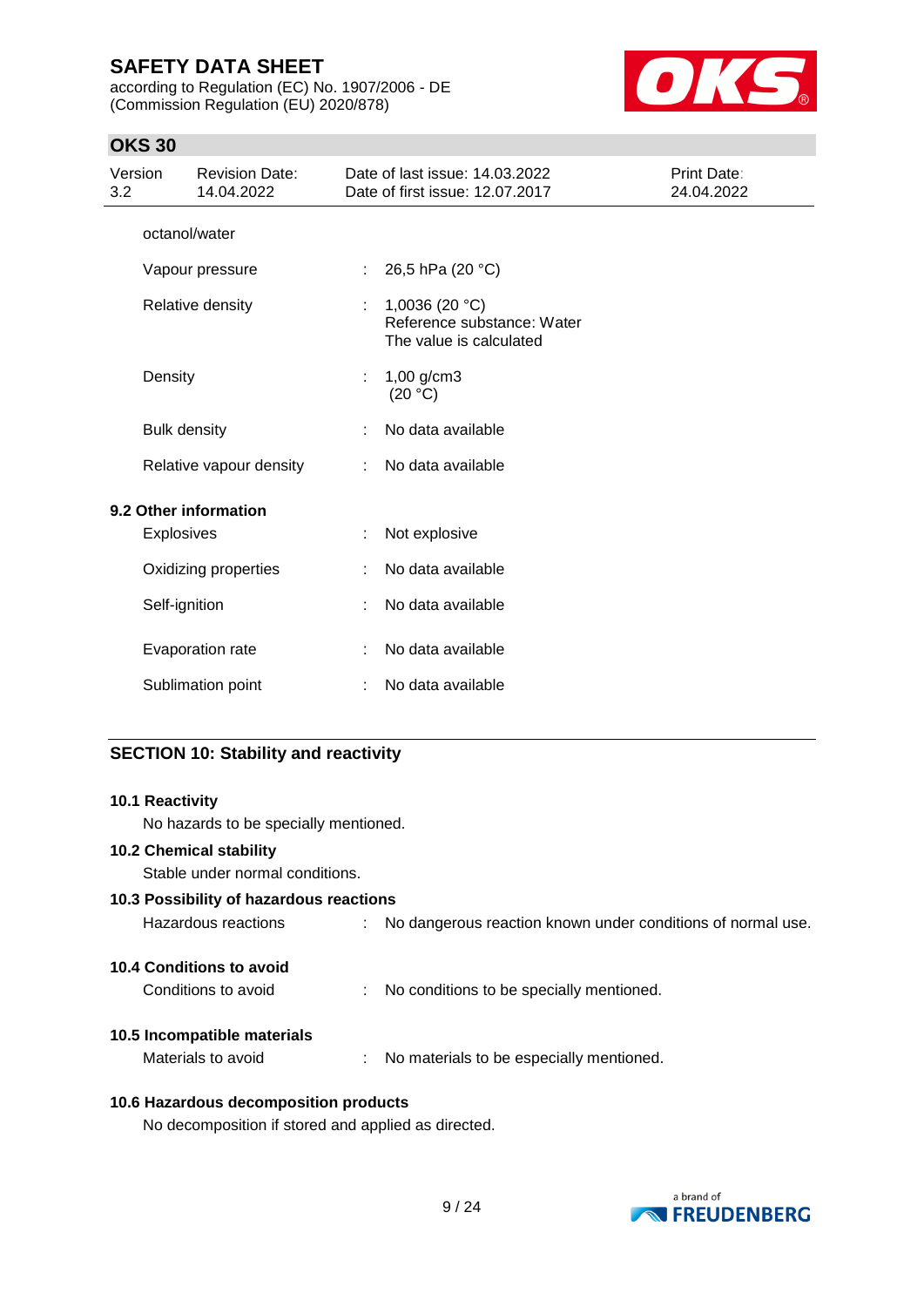according to Regulation (EC) No. 1907/2006 - DE (Commission Regulation (EU) 2020/878)



## **OKS 30**

| Version<br>3.2        | <b>Revision Date:</b><br>14.04.2022 |    | Date of last issue: 14.03.2022<br>Date of first issue: 12.07.2017          | <b>Print Date:</b><br>24.04.2022 |
|-----------------------|-------------------------------------|----|----------------------------------------------------------------------------|----------------------------------|
| octanol/water         |                                     |    |                                                                            |                                  |
|                       | Vapour pressure                     | ÷. | 26,5 hPa (20 °C)                                                           |                                  |
| Relative density      |                                     |    | 1,0036 (20 $°C$ )<br>Reference substance: Water<br>The value is calculated |                                  |
| Density               |                                     |    | $1,00$ g/cm3<br>(20 °C)                                                    |                                  |
| <b>Bulk density</b>   |                                     |    | No data available                                                          |                                  |
|                       | Relative vapour density             |    | No data available                                                          |                                  |
| 9.2 Other information |                                     |    |                                                                            |                                  |
| Explosives            |                                     |    | Not explosive                                                              |                                  |
|                       | Oxidizing properties                |    | No data available                                                          |                                  |
| Self-ignition         |                                     |    | No data available                                                          |                                  |
|                       | Evaporation rate                    |    | No data available                                                          |                                  |
|                       | Sublimation point                   |    | No data available                                                          |                                  |

## **SECTION 10: Stability and reactivity**

| <b>10.1 Reactivity</b>                              |                                                               |
|-----------------------------------------------------|---------------------------------------------------------------|
| No hazards to be specially mentioned.               |                                                               |
| <b>10.2 Chemical stability</b>                      |                                                               |
| Stable under normal conditions.                     |                                                               |
| 10.3 Possibility of hazardous reactions             |                                                               |
| Hazardous reactions                                 | : No dangerous reaction known under conditions of normal use. |
| 10.4 Conditions to avoid                            |                                                               |
| Conditions to avoid                                 | : No conditions to be specially mentioned.                    |
| 10.5 Incompatible materials                         |                                                               |
| Materials to avoid                                  | : No materials to be especially mentioned.                    |
| 10.6 Hazardous decomposition products               |                                                               |
| No decomposition if stored and applied as directed. |                                                               |

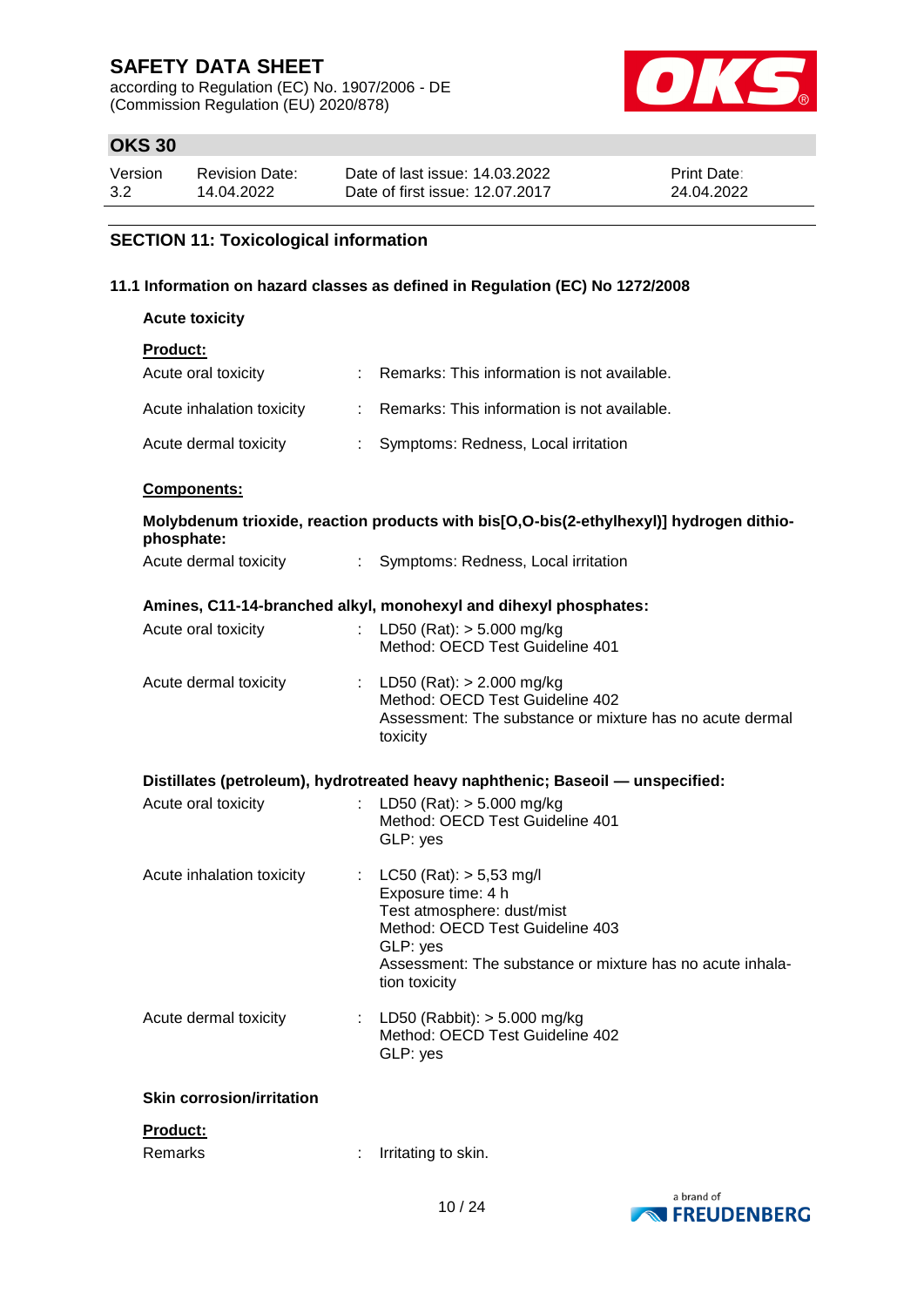according to Regulation (EC) No. 1907/2006 - DE (Commission Regulation (EU) 2020/878)



## **OKS 30**

| Version | Revision Date: | Date of last issue: 14.03.2022  | <b>Print Date:</b> |
|---------|----------------|---------------------------------|--------------------|
| 3.2     | 14.04.2022     | Date of first issue: 12.07.2017 | 24.04.2022         |

## **SECTION 11: Toxicological information**

### **11.1 Information on hazard classes as defined in Regulation (EC) No 1272/2008**

| <b>Acute toxicity</b>               |                               |                                                                                                                                                                                                                 |
|-------------------------------------|-------------------------------|-----------------------------------------------------------------------------------------------------------------------------------------------------------------------------------------------------------------|
| <b>Product:</b>                     |                               |                                                                                                                                                                                                                 |
| Acute oral toxicity                 |                               | : Remarks: This information is not available.                                                                                                                                                                   |
| Acute inhalation toxicity           |                               | : Remarks: This information is not available.                                                                                                                                                                   |
| Acute dermal toxicity               | $\mathcal{L}^{\mathcal{L}}$ . | Symptoms: Redness, Local irritation                                                                                                                                                                             |
| Components:                         |                               |                                                                                                                                                                                                                 |
|                                     |                               | Molybdenum trioxide, reaction products with bis[O,O-bis(2-ethylhexyl)] hydrogen dithio-                                                                                                                         |
| phosphate:<br>Acute dermal toxicity |                               | : Symptoms: Redness, Local irritation                                                                                                                                                                           |
|                                     |                               | Amines, C11-14-branched alkyl, monohexyl and dihexyl phosphates:                                                                                                                                                |
| Acute oral toxicity                 | $\mathbb{R}^{\mathbb{Z}}$     | LD50 (Rat): $> 5.000$ mg/kg<br>Method: OECD Test Guideline 401                                                                                                                                                  |
| Acute dermal toxicity               |                               | : LD50 (Rat): $> 2.000$ mg/kg<br>Method: OECD Test Guideline 402<br>Assessment: The substance or mixture has no acute dermal<br>toxicity                                                                        |
|                                     |                               | Distillates (petroleum), hydrotreated heavy naphthenic; Baseoil — unspecified:                                                                                                                                  |
| Acute oral toxicity                 |                               | LD50 (Rat): $> 5.000$ mg/kg<br>Method: OECD Test Guideline 401<br>GLP: yes                                                                                                                                      |
| Acute inhalation toxicity           |                               | : $LC50 (Rat)$ : $> 5,53$ mg/l<br>Exposure time: 4 h<br>Test atmosphere: dust/mist<br>Method: OECD Test Guideline 403<br>GLP: yes<br>Assessment: The substance or mixture has no acute inhala-<br>tion toxicity |
| Acute dermal toxicity               |                               | LD50 (Rabbit): $> 5.000$ mg/kg<br>Method: OECD Test Guideline 402<br>GLP: yes                                                                                                                                   |
| <b>Skin corrosion/irritation</b>    |                               |                                                                                                                                                                                                                 |
| Product:                            |                               |                                                                                                                                                                                                                 |
| Remarks                             |                               | Irritating to skin.                                                                                                                                                                                             |

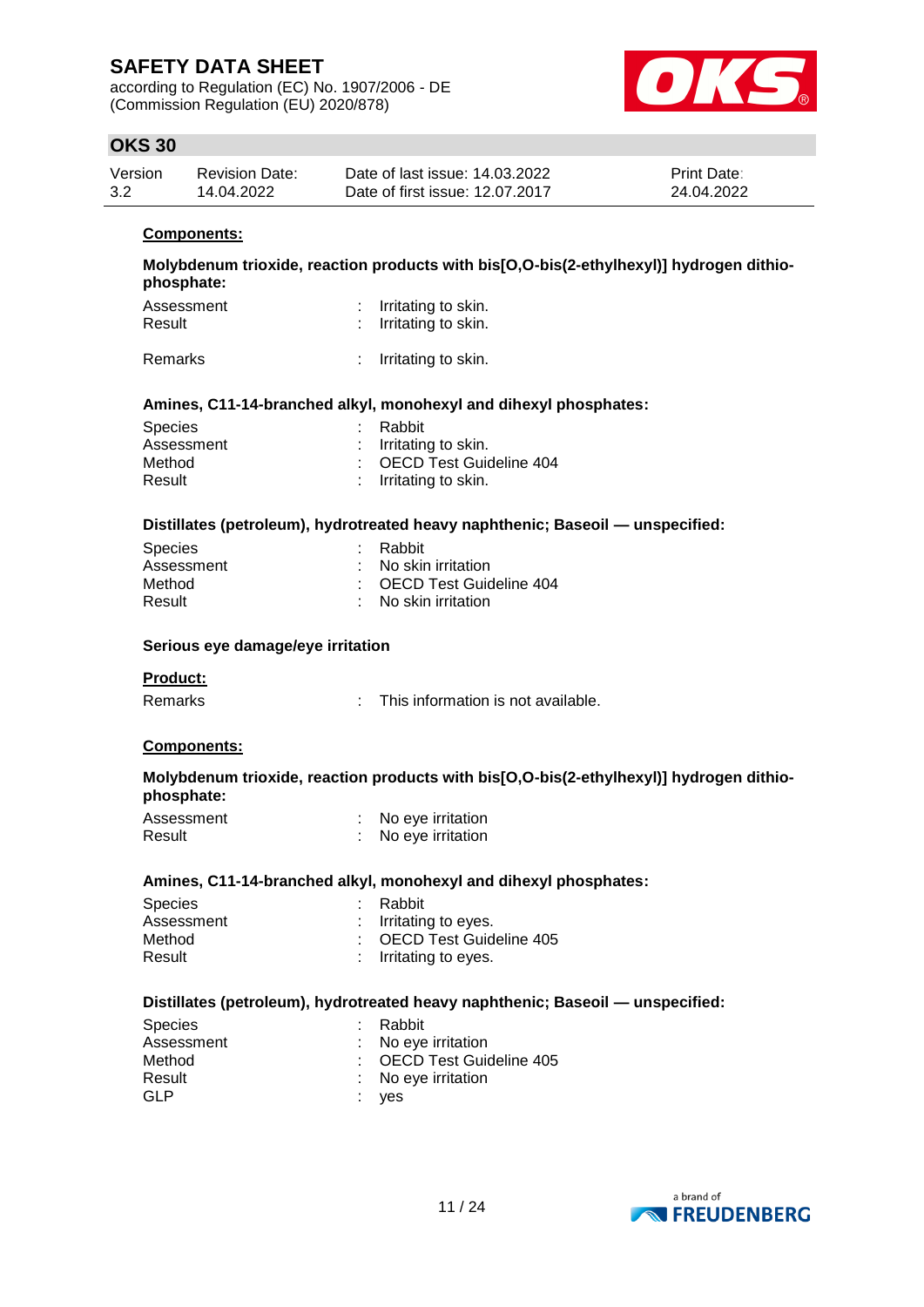according to Regulation (EC) No. 1907/2006 - DE (Commission Regulation (EU) 2020/878)



## **OKS 30**

| Version | Revision Date: | Date of last issue: 14.03.2022  | <b>Print Date:</b> |
|---------|----------------|---------------------------------|--------------------|
| 3.2     | 14.04.2022     | Date of first issue: 12.07.2017 | 24.04.2022         |

#### **Components:**

**Molybdenum trioxide, reaction products with bis[O,O-bis(2-ethylhexyl)] hydrogen dithiophosphate:**

| Assessment | : Irritating to skin. |
|------------|-----------------------|
| Result     | : Irritating to skin. |
|            |                       |

Remarks : Irritating to skin.

#### **Amines, C11-14-branched alkyl, monohexyl and dihexyl phosphates:**

| : Rabbit                  |
|---------------------------|
| $:$ Irritating to skin.   |
| : OECD Test Guideline 404 |
| $:$ Irritating to skin.   |
|                           |

#### **Distillates (petroleum), hydrotreated heavy naphthenic; Baseoil — unspecified:**

| Species    | : Rabbit                  |  |
|------------|---------------------------|--|
| Assessment | : No skin irritation      |  |
| Method     | : OECD Test Guideline 404 |  |
| Result     | : No skin irritation      |  |
|            |                           |  |

#### **Serious eye damage/eye irritation**

#### **Product:**

| This information is not available.<br>Remarks |
|-----------------------------------------------|
|-----------------------------------------------|

#### **Components:**

### **Molybdenum trioxide, reaction products with bis[O,O-bis(2-ethylhexyl)] hydrogen dithiophosphate:**

| Assessment | No eye irritation |
|------------|-------------------|
| Result     | No eye irritation |

#### **Amines, C11-14-branched alkyl, monohexyl and dihexyl phosphates:**

| <b>Species</b> | : Rabbit                  |
|----------------|---------------------------|
| Assessment     | $:$ Irritating to eyes.   |
| Method         | : OECD Test Guideline 405 |
| Result         | : Irritating to eyes.     |
|                |                           |

#### **Distillates (petroleum), hydrotreated heavy naphthenic; Baseoil — unspecified:**

| <b>Species</b> | : Rabbit                  |
|----------------|---------------------------|
| Assessment     | : No eye irritation       |
| Method         | : OECD Test Guideline 405 |
| Result         | : No eve irritation       |
| GLP            | : yes                     |

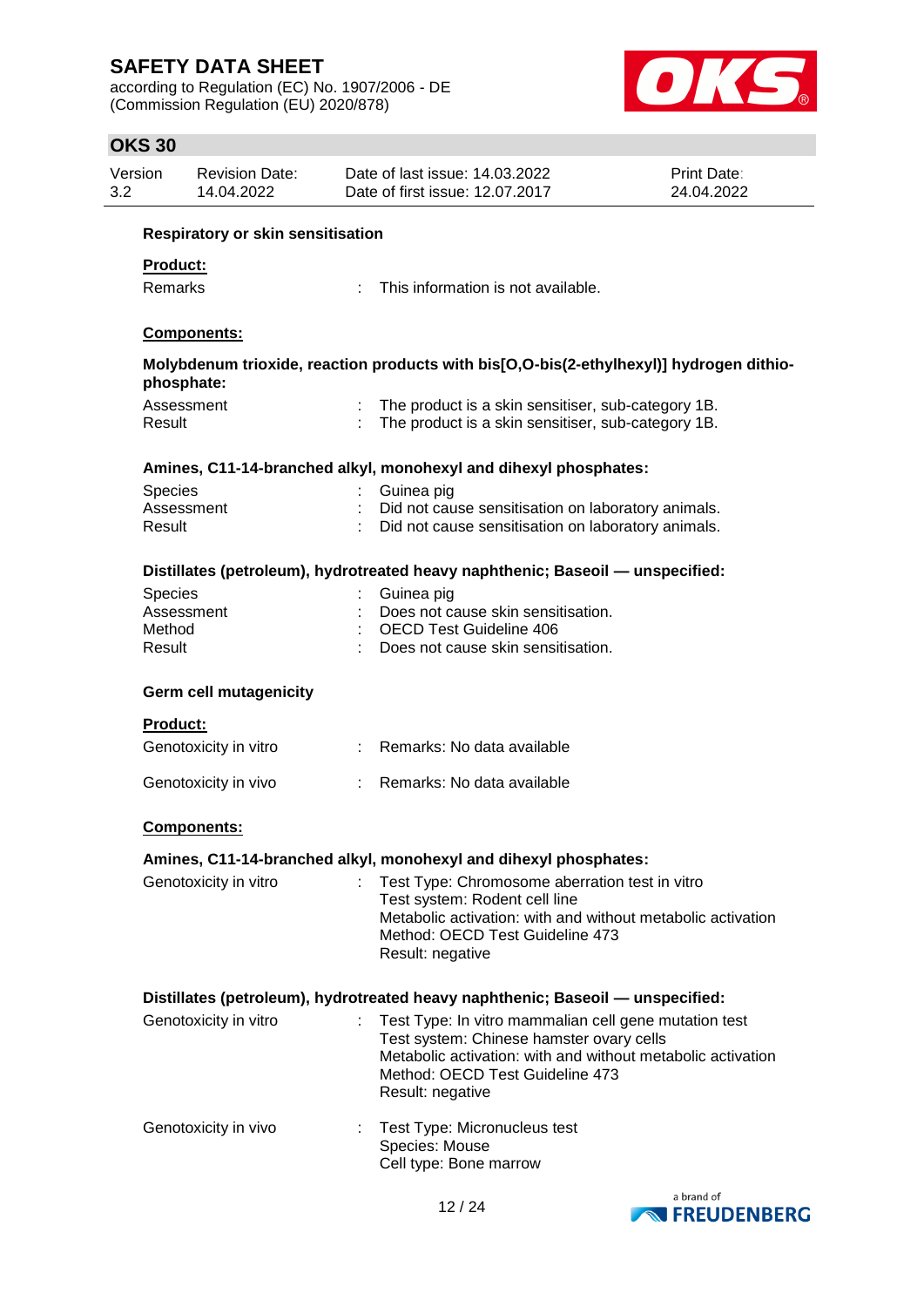according to Regulation (EC) No. 1907/2006 - DE (Commission Regulation (EU) 2020/878)



| Version<br>3.2 |                  | <b>Revision Date:</b><br>14.04.2022      | Date of last issue: 14.03.2022<br>Date of first issue: 12.07.2017                                                                                                                                                       | Print Date:<br>24.04.2022 |
|----------------|------------------|------------------------------------------|-------------------------------------------------------------------------------------------------------------------------------------------------------------------------------------------------------------------------|---------------------------|
|                |                  | <b>Respiratory or skin sensitisation</b> |                                                                                                                                                                                                                         |                           |
|                | Product:         |                                          |                                                                                                                                                                                                                         |                           |
|                | Remarks          |                                          | This information is not available.                                                                                                                                                                                      |                           |
|                |                  | <b>Components:</b>                       |                                                                                                                                                                                                                         |                           |
|                |                  | phosphate:                               | Molybdenum trioxide, reaction products with bis[O,O-bis(2-ethylhexyl)] hydrogen dithio-                                                                                                                                 |                           |
|                | Result           | Assessment                               | The product is a skin sensitiser, sub-category 1B.<br>The product is a skin sensitiser, sub-category 1B.                                                                                                                |                           |
|                |                  |                                          | Amines, C11-14-branched alkyl, monohexyl and dihexyl phosphates:                                                                                                                                                        |                           |
|                | Species          |                                          | Guinea pig                                                                                                                                                                                                              |                           |
|                | Result           | Assessment                               | Did not cause sensitisation on laboratory animals.<br>Did not cause sensitisation on laboratory animals.                                                                                                                |                           |
|                |                  |                                          | Distillates (petroleum), hydrotreated heavy naphthenic; Baseoil - unspecified:                                                                                                                                          |                           |
|                | Species          |                                          | Guinea pig                                                                                                                                                                                                              |                           |
|                |                  | Assessment                               | Does not cause skin sensitisation.<br><b>OECD Test Guideline 406</b>                                                                                                                                                    |                           |
|                | Method<br>Result |                                          | Does not cause skin sensitisation.                                                                                                                                                                                      |                           |
|                |                  |                                          |                                                                                                                                                                                                                         |                           |
|                | <b>Product:</b>  | <b>Germ cell mutagenicity</b>            |                                                                                                                                                                                                                         |                           |
|                |                  | Genotoxicity in vitro                    | Remarks: No data available                                                                                                                                                                                              |                           |
|                |                  | Genotoxicity in vivo                     | Remarks: No data available                                                                                                                                                                                              |                           |
|                |                  | <b>Components:</b>                       |                                                                                                                                                                                                                         |                           |
|                |                  |                                          | Amines, C11-14-branched alkyl, monohexyl and dihexyl phosphates:                                                                                                                                                        |                           |
|                |                  | Genotoxicity in vitro                    | Test Type: Chromosome aberration test in vitro<br>Test system: Rodent cell line<br>Metabolic activation: with and without metabolic activation<br>Method: OECD Test Guideline 473<br>Result: negative                   |                           |
|                |                  |                                          | Distillates (petroleum), hydrotreated heavy naphthenic; Baseoil — unspecified:                                                                                                                                          |                           |
|                |                  | Genotoxicity in vitro                    | Test Type: In vitro mammalian cell gene mutation test<br>Test system: Chinese hamster ovary cells<br>Metabolic activation: with and without metabolic activation<br>Method: OECD Test Guideline 473<br>Result: negative |                           |
|                |                  | Genotoxicity in vivo                     | Test Type: Micronucleus test<br>Species: Mouse<br>Cell type: Bone marrow                                                                                                                                                |                           |
|                |                  |                                          |                                                                                                                                                                                                                         |                           |

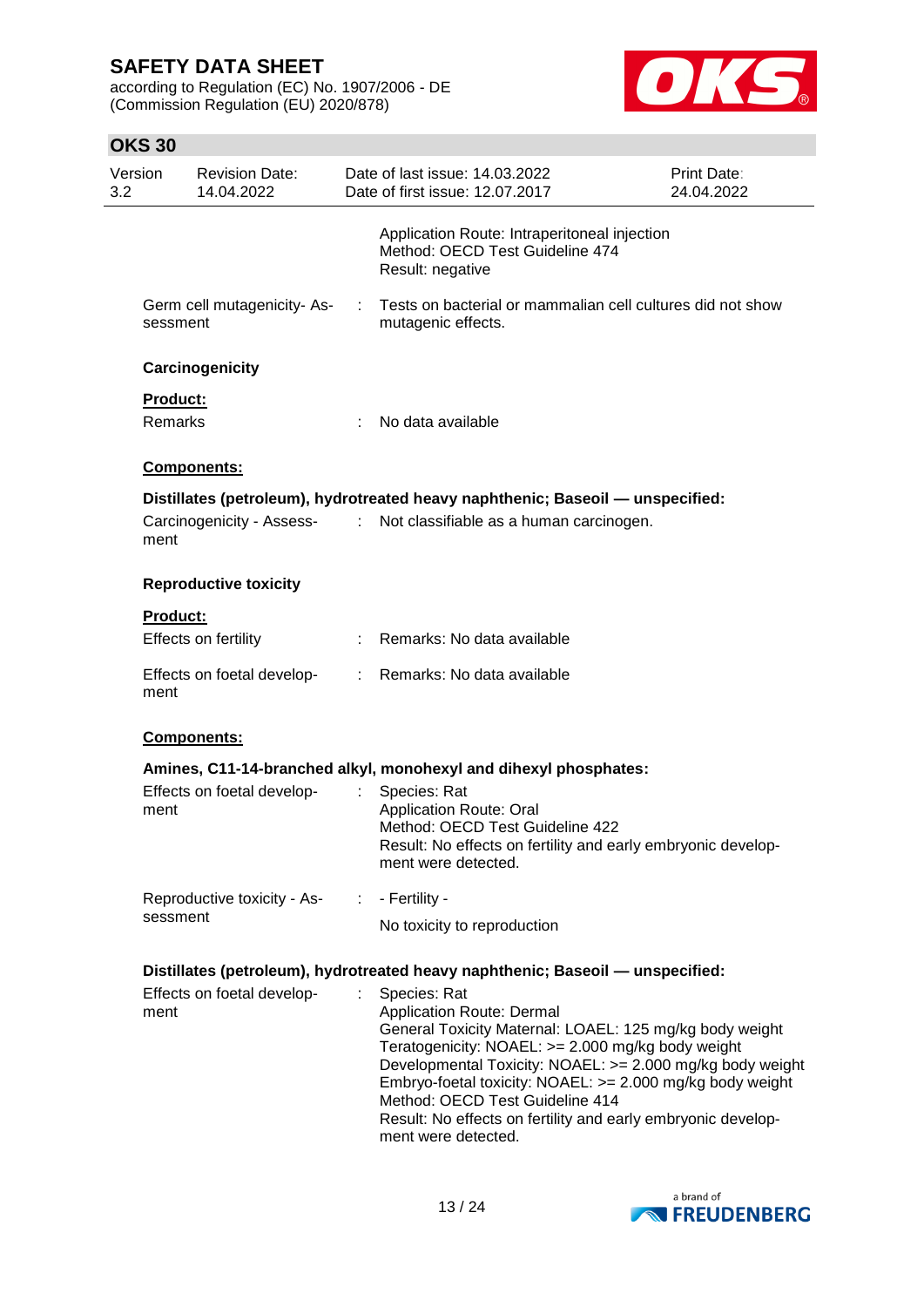according to Regulation (EC) No. 1907/2006 - DE (Commission Regulation (EU) 2020/878)



| Version<br>3.2 | <b>Revision Date:</b><br>14.04.2022    |    | Date of last issue: 14.03.2022<br>Date of first issue: 12.07.2017                                                                                                                                                                                                                                                                                                                                                    | Print Date:<br>24.04.2022 |
|----------------|----------------------------------------|----|----------------------------------------------------------------------------------------------------------------------------------------------------------------------------------------------------------------------------------------------------------------------------------------------------------------------------------------------------------------------------------------------------------------------|---------------------------|
|                |                                        |    | Application Route: Intraperitoneal injection<br>Method: OECD Test Guideline 474<br>Result: negative                                                                                                                                                                                                                                                                                                                  |                           |
|                | Germ cell mutagenicity-As-<br>sessment | ÷  | Tests on bacterial or mammalian cell cultures did not show<br>mutagenic effects.                                                                                                                                                                                                                                                                                                                                     |                           |
|                | Carcinogenicity                        |    |                                                                                                                                                                                                                                                                                                                                                                                                                      |                           |
|                | <b>Product:</b>                        |    |                                                                                                                                                                                                                                                                                                                                                                                                                      |                           |
|                | Remarks                                |    | No data available                                                                                                                                                                                                                                                                                                                                                                                                    |                           |
|                | Components:                            |    |                                                                                                                                                                                                                                                                                                                                                                                                                      |                           |
|                |                                        |    | Distillates (petroleum), hydrotreated heavy naphthenic; Baseoil — unspecified:                                                                                                                                                                                                                                                                                                                                       |                           |
|                | Carcinogenicity - Assess-<br>ment      |    | : Not classifiable as a human carcinogen.                                                                                                                                                                                                                                                                                                                                                                            |                           |
|                | <b>Reproductive toxicity</b>           |    |                                                                                                                                                                                                                                                                                                                                                                                                                      |                           |
|                | <b>Product:</b>                        |    |                                                                                                                                                                                                                                                                                                                                                                                                                      |                           |
|                | Effects on fertility                   |    | : Remarks: No data available                                                                                                                                                                                                                                                                                                                                                                                         |                           |
|                | Effects on foetal develop-<br>ment     |    | : Remarks: No data available                                                                                                                                                                                                                                                                                                                                                                                         |                           |
|                | Components:                            |    |                                                                                                                                                                                                                                                                                                                                                                                                                      |                           |
|                |                                        |    | Amines, C11-14-branched alkyl, monohexyl and dihexyl phosphates:                                                                                                                                                                                                                                                                                                                                                     |                           |
|                | Effects on foetal develop-<br>ment     | ÷. | Species: Rat<br><b>Application Route: Oral</b><br>Method: OECD Test Guideline 422<br>Result: No effects on fertility and early embryonic develop-<br>ment were detected.                                                                                                                                                                                                                                             |                           |
|                | Reproductive toxicity - As-            | ÷. | - Fertility -                                                                                                                                                                                                                                                                                                                                                                                                        |                           |
|                | sessment                               |    | No toxicity to reproduction                                                                                                                                                                                                                                                                                                                                                                                          |                           |
|                |                                        |    | Distillates (petroleum), hydrotreated heavy naphthenic; Baseoil - unspecified:                                                                                                                                                                                                                                                                                                                                       |                           |
|                | Effects on foetal develop-<br>ment     |    | Species: Rat<br><b>Application Route: Dermal</b><br>General Toxicity Maternal: LOAEL: 125 mg/kg body weight<br>Teratogenicity: NOAEL: >= 2.000 mg/kg body weight<br>Developmental Toxicity: NOAEL: >= 2.000 mg/kg body weight<br>Embryo-foetal toxicity: NOAEL: >= 2.000 mg/kg body weight<br>Method: OECD Test Guideline 414<br>Result: No effects on fertility and early embryonic develop-<br>ment were detected. |                           |

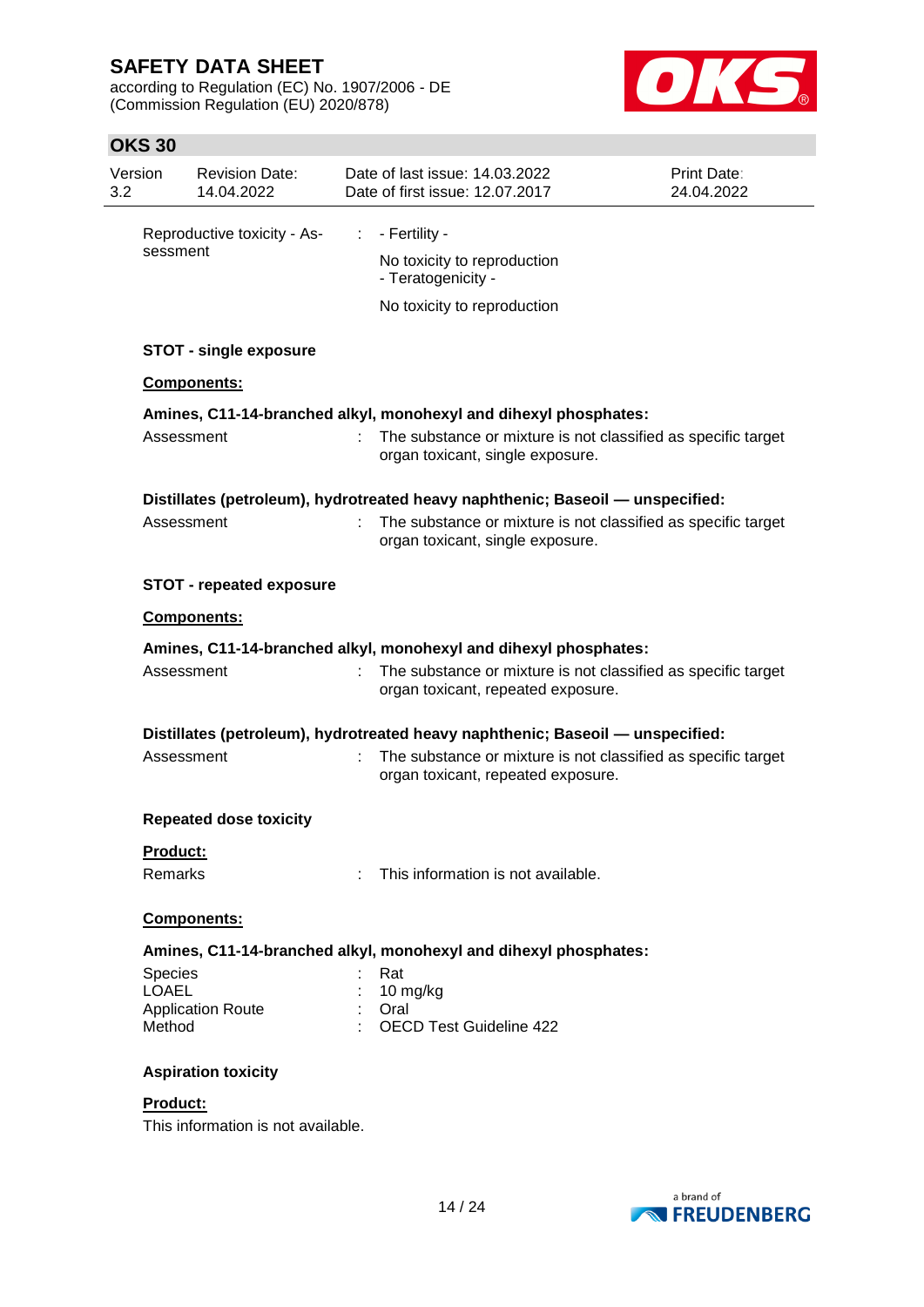according to Regulation (EC) No. 1907/2006 - DE (Commission Regulation (EU) 2020/878)



| 3.2 | Version                 | <b>Revision Date:</b><br>14.04.2022 |    | Date of last issue: 14.03.2022<br>Date of first issue: 12.07.2017                                   | Print Date:<br>24.04.2022 |
|-----|-------------------------|-------------------------------------|----|-----------------------------------------------------------------------------------------------------|---------------------------|
|     |                         | Reproductive toxicity - As-         | ÷. | - Fertility -                                                                                       |                           |
|     | sessment                |                                     |    | No toxicity to reproduction<br>- Teratogenicity -                                                   |                           |
|     |                         |                                     |    | No toxicity to reproduction                                                                         |                           |
|     |                         | <b>STOT - single exposure</b>       |    |                                                                                                     |                           |
|     |                         | Components:                         |    |                                                                                                     |                           |
|     |                         |                                     |    | Amines, C11-14-branched alkyl, monohexyl and dihexyl phosphates:                                    |                           |
|     | Assessment              |                                     |    | The substance or mixture is not classified as specific target<br>organ toxicant, single exposure.   |                           |
|     |                         |                                     |    | Distillates (petroleum), hydrotreated heavy naphthenic; Baseoil - unspecified:                      |                           |
|     | Assessment              |                                     |    | The substance or mixture is not classified as specific target<br>organ toxicant, single exposure.   |                           |
|     |                         | <b>STOT - repeated exposure</b>     |    |                                                                                                     |                           |
|     | Components:             |                                     |    |                                                                                                     |                           |
|     |                         |                                     |    | Amines, C11-14-branched alkyl, monohexyl and dihexyl phosphates:                                    |                           |
|     | Assessment              |                                     |    | The substance or mixture is not classified as specific target<br>organ toxicant, repeated exposure. |                           |
|     |                         |                                     |    | Distillates (petroleum), hydrotreated heavy naphthenic; Baseoil - unspecified:                      |                           |
|     | Assessment              |                                     | ÷. | The substance or mixture is not classified as specific target<br>organ toxicant, repeated exposure. |                           |
|     |                         | <b>Repeated dose toxicity</b>       |    |                                                                                                     |                           |
|     | Product:                |                                     |    |                                                                                                     |                           |
|     | Remarks                 |                                     |    | This information is not available.                                                                  |                           |
|     |                         | Components:                         |    |                                                                                                     |                           |
|     |                         |                                     |    | Amines, C11-14-branched alkyl, monohexyl and dihexyl phosphates:                                    |                           |
|     | Species<br><b>LOAEL</b> |                                     |    | Rat                                                                                                 |                           |
|     |                         | <b>Application Route</b>            |    | 10 mg/kg<br>Oral                                                                                    |                           |
|     | Method                  |                                     |    | <b>OECD Test Guideline 422</b>                                                                      |                           |
|     |                         | <b>Aspiration toxicity</b>          |    |                                                                                                     |                           |
|     | Product:                | This information is not available.  |    |                                                                                                     |                           |

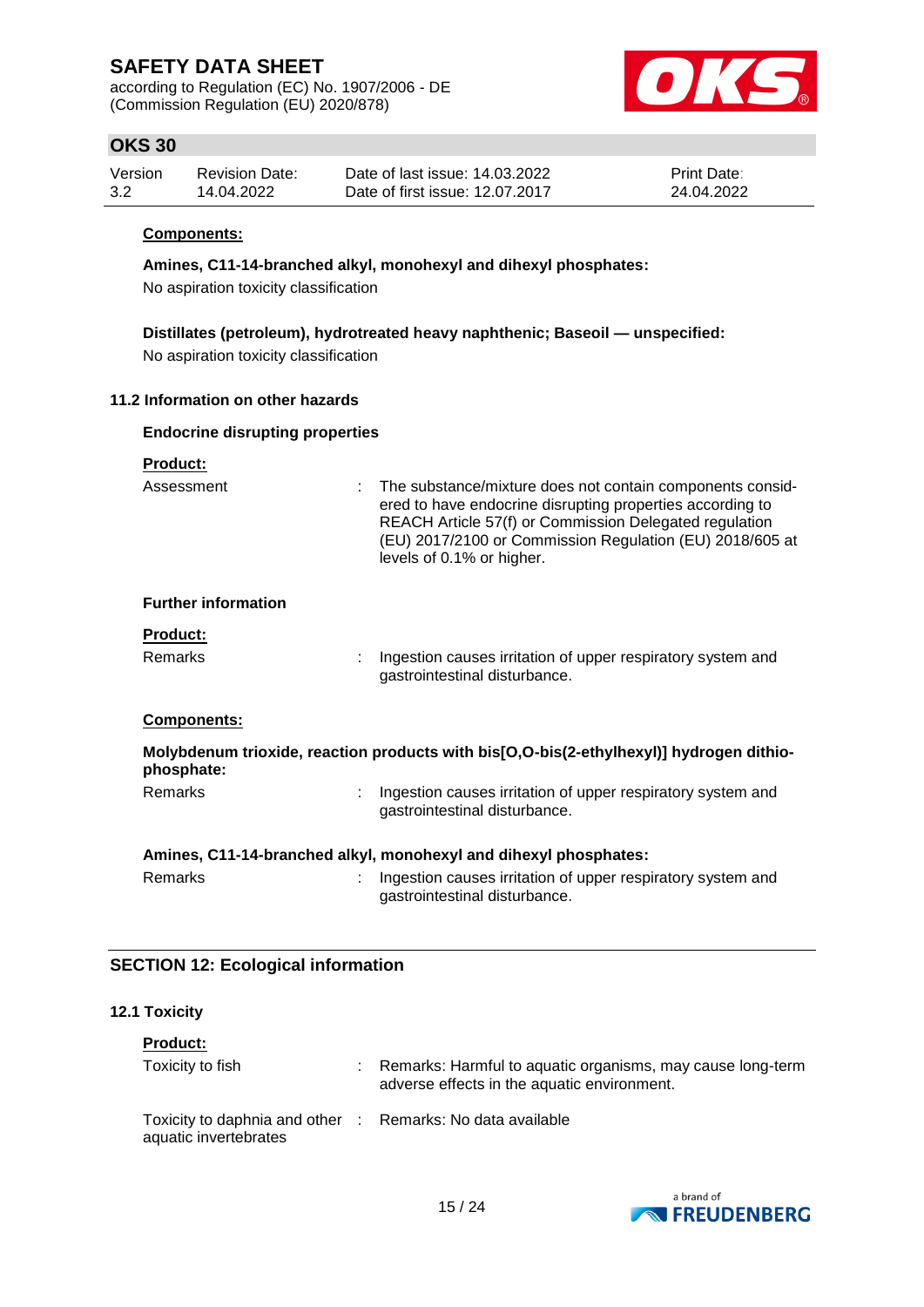according to Regulation (EC) No. 1907/2006 - DE (Commission Regulation (EU) 2020/878)



## **OKS 30**

| Version | Revision Date: | Date of last issue: 14.03.2022  | <b>Print Date:</b> |
|---------|----------------|---------------------------------|--------------------|
| 3.2     | 14.04.2022     | Date of first issue: 12.07.2017 | 24.04.2022         |

#### **Components:**

**Amines, C11-14-branched alkyl, monohexyl and dihexyl phosphates:**

No aspiration toxicity classification

**Distillates (petroleum), hydrotreated heavy naphthenic; Baseoil — unspecified:** No aspiration toxicity classification

#### **11.2 Information on other hazards**

# **Endocrine disrupting properties**

| <b>Product:</b>            |                                                                                                                                                                                                                                                                             |
|----------------------------|-----------------------------------------------------------------------------------------------------------------------------------------------------------------------------------------------------------------------------------------------------------------------------|
| Assessment                 | : The substance/mixture does not contain components consid-<br>ered to have endocrine disrupting properties according to<br>REACH Article 57(f) or Commission Delegated regulation<br>(EU) 2017/2100 or Commission Regulation (EU) 2018/605 at<br>levels of 0.1% or higher. |
| <b>Further information</b> |                                                                                                                                                                                                                                                                             |
| <b>Product:</b>            |                                                                                                                                                                                                                                                                             |
| <b>Remarks</b>             | Ingestion causes irritation of upper respiratory system and<br>gastrointestinal disturbance.                                                                                                                                                                                |
| Components:                |                                                                                                                                                                                                                                                                             |
| phosphate:                 | Molybdenum trioxide, reaction products with bis[O,O-bis(2-ethylhexyl)] hydrogen dithio-                                                                                                                                                                                     |
| <b>Remarks</b>             | Ingestion causes irritation of upper respiratory system and<br>gastrointestinal disturbance.                                                                                                                                                                                |
|                            | Amines, C11-14-branched alkyl, monohexyl and dihexyl phosphates:                                                                                                                                                                                                            |
| Remarks                    | Ingestion causes irritation of upper respiratory system and<br>gastrointestinal disturbance.                                                                                                                                                                                |

## **SECTION 12: Ecological information**

#### **12.1 Toxicity**

| <b>Product:</b>                                                                     |                                                                                                           |
|-------------------------------------------------------------------------------------|-----------------------------------------------------------------------------------------------------------|
| Toxicity to fish                                                                    | Remarks: Harmful to aquatic organisms, may cause long-term<br>adverse effects in the aquatic environment. |
| Toxicity to daphnia and other : Remarks: No data available<br>aquatic invertebrates |                                                                                                           |

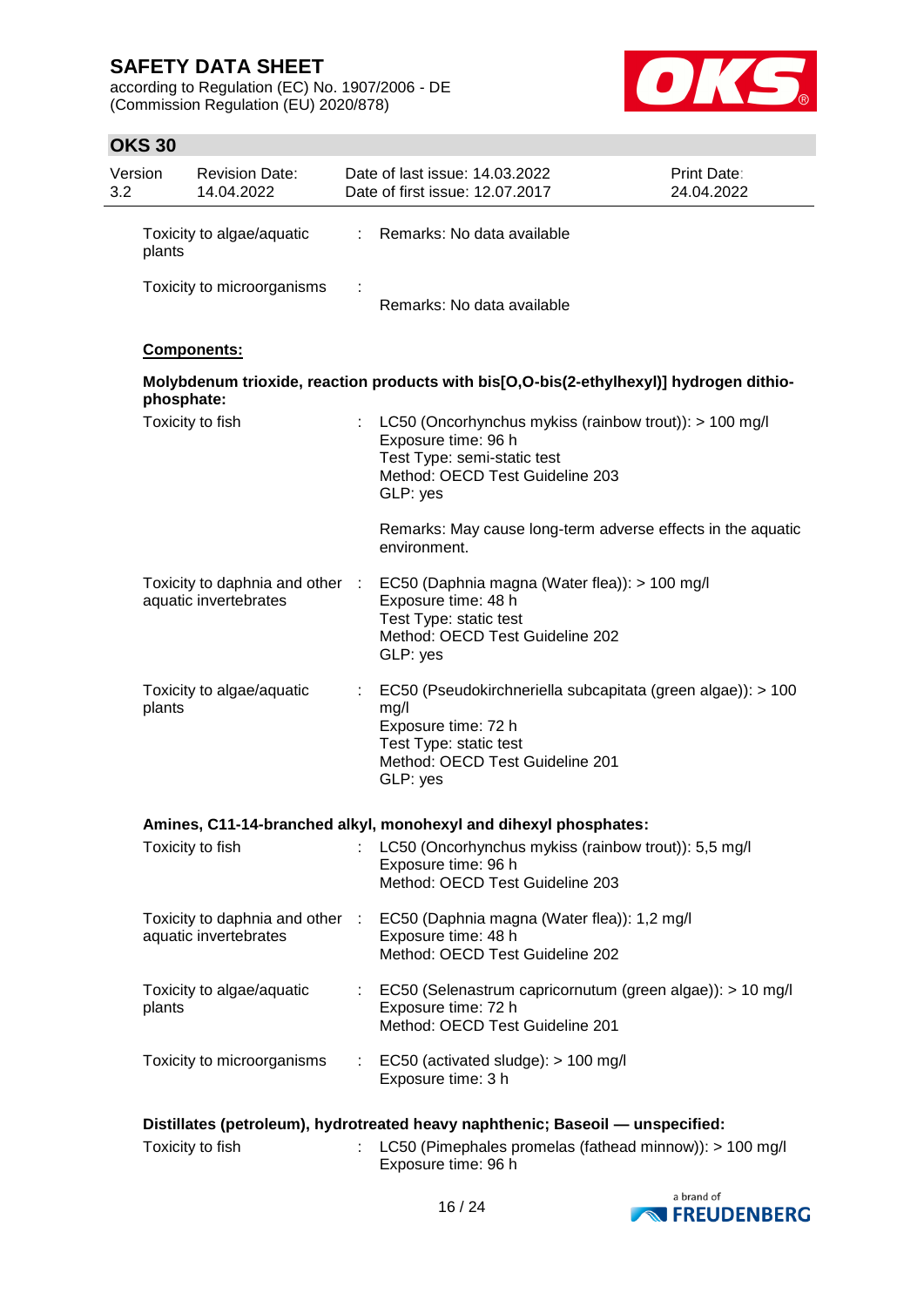according to Regulation (EC) No. 1907/2006 - DE (Commission Regulation (EU) 2020/878)



| Version<br>3.2 | <b>Revision Date:</b><br>14.04.2022                      |    | Date of last issue: 14.03.2022<br>Date of first issue: 12.07.2017                                                                                                   | Print Date:<br>24.04.2022 |
|----------------|----------------------------------------------------------|----|---------------------------------------------------------------------------------------------------------------------------------------------------------------------|---------------------------|
| plants         | Toxicity to algae/aquatic                                | ÷. | Remarks: No data available                                                                                                                                          |                           |
|                | Toxicity to microorganisms                               | ÷  | Remarks: No data available                                                                                                                                          |                           |
|                | Components:                                              |    |                                                                                                                                                                     |                           |
|                | phosphate:                                               |    | Molybdenum trioxide, reaction products with bis[O,O-bis(2-ethylhexyl)] hydrogen dithio-                                                                             |                           |
|                | Toxicity to fish                                         | ÷  | LC50 (Oncorhynchus mykiss (rainbow trout)): > 100 mg/l<br>Exposure time: 96 h<br>Test Type: semi-static test<br>Method: OECD Test Guideline 203<br>GLP: yes         |                           |
|                |                                                          |    | Remarks: May cause long-term adverse effects in the aquatic<br>environment.                                                                                         |                           |
|                | Toxicity to daphnia and other :<br>aquatic invertebrates |    | EC50 (Daphnia magna (Water flea)): > 100 mg/l<br>Exposure time: 48 h<br>Test Type: static test<br>Method: OECD Test Guideline 202<br>GLP: yes                       |                           |
| plants         | Toxicity to algae/aquatic                                | ÷. | EC50 (Pseudokirchneriella subcapitata (green algae)): > 100<br>mg/l<br>Exposure time: 72 h<br>Test Type: static test<br>Method: OECD Test Guideline 201<br>GLP: yes |                           |
|                |                                                          |    | Amines, C11-14-branched alkyl, monohexyl and dihexyl phosphates:                                                                                                    |                           |
|                | Toxicity to fish                                         |    | LC50 (Oncorhynchus mykiss (rainbow trout)): 5,5 mg/l<br>Exposure time: 96 h<br>Method: OECD Test Guideline 203                                                      |                           |
|                | Toxicity to daphnia and other :<br>aquatic invertebrates |    | EC50 (Daphnia magna (Water flea)): 1,2 mg/l<br>Exposure time: 48 h<br>Method: OECD Test Guideline 202                                                               |                           |
| plants         | Toxicity to algae/aquatic                                | ÷  | EC50 (Selenastrum capricornutum (green algae)): > 10 mg/l<br>Exposure time: 72 h<br>Method: OECD Test Guideline 201                                                 |                           |
|                | Toxicity to microorganisms                               |    | EC50 (activated sludge): > 100 mg/l<br>Exposure time: 3 h                                                                                                           |                           |
|                |                                                          |    | Distillates (petroleum), hydrotreated heavy naphthenic; Baseoil — unspecified:                                                                                      |                           |
|                | Toxicity to fish                                         |    | LC50 (Pimephales promelas (fathead minnow)): > 100 mg/l<br>Exposure time: 96 h                                                                                      |                           |

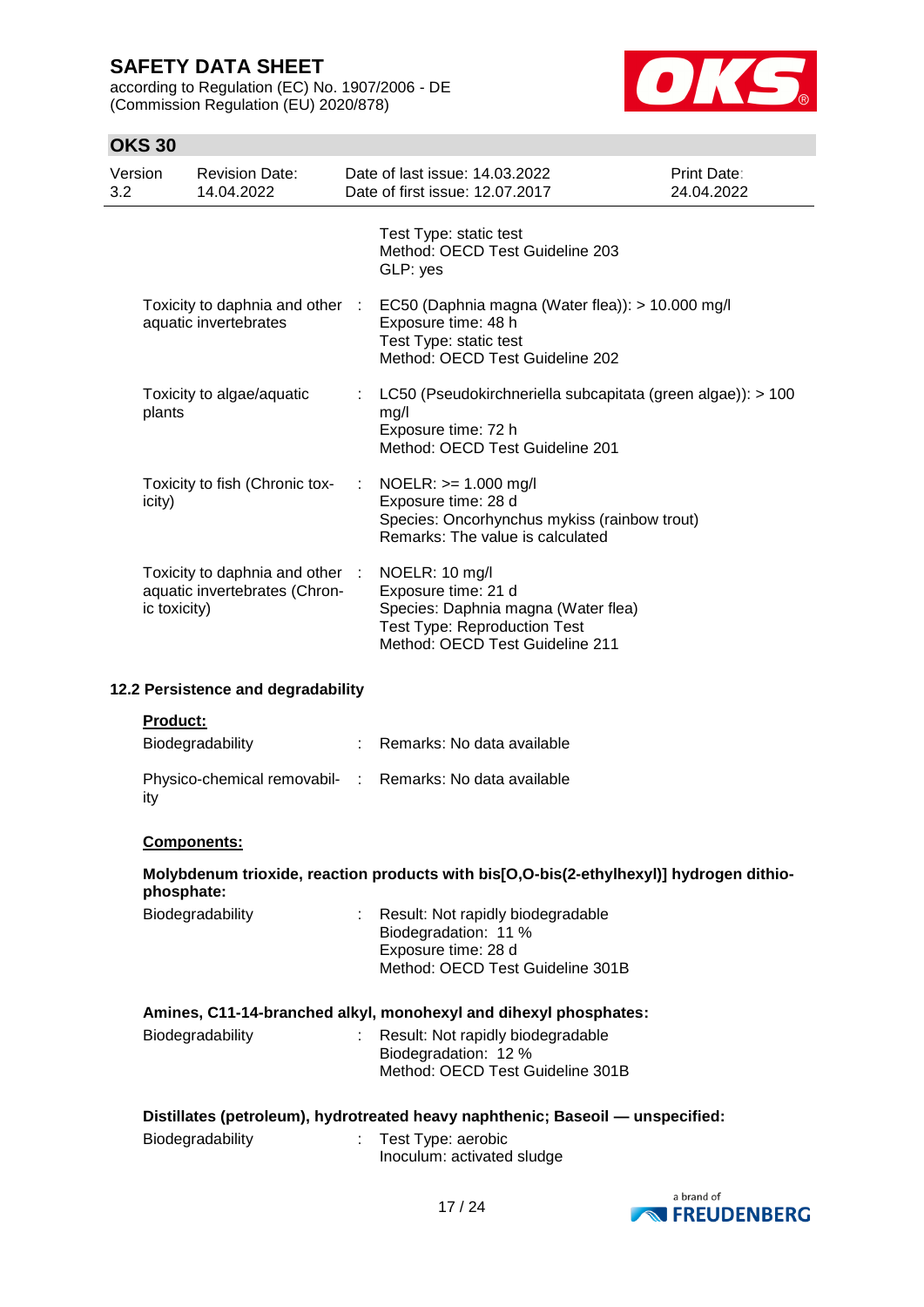according to Regulation (EC) No. 1907/2006 - DE (Commission Regulation (EU) 2020/878)



| 3.2 | Version         | <b>Revision Date:</b><br>14.04.2022                              |      | Date of last issue: 14.03.2022<br>Date of first issue: 12.07.2017                                                                                      | Print Date:<br>24.04.2022 |
|-----|-----------------|------------------------------------------------------------------|------|--------------------------------------------------------------------------------------------------------------------------------------------------------|---------------------------|
|     |                 |                                                                  |      | Test Type: static test<br>Method: OECD Test Guideline 203<br>GLP: yes                                                                                  |                           |
|     |                 | Toxicity to daphnia and other :<br>aquatic invertebrates         |      | EC50 (Daphnia magna (Water flea)): > 10.000 mg/l<br>Exposure time: 48 h<br>Test Type: static test<br>Method: OECD Test Guideline 202                   |                           |
|     | plants          | Toxicity to algae/aquatic                                        |      | LC50 (Pseudokirchneriella subcapitata (green algae)): > 100<br>mg/l<br>Exposure time: 72 h<br>Method: OECD Test Guideline 201                          |                           |
|     | icity)          | Toxicity to fish (Chronic tox-                                   | - 11 | $NOELR: >= 1.000 mg/l$<br>Exposure time: 28 d<br>Species: Oncorhynchus mykiss (rainbow trout)<br>Remarks: The value is calculated                      |                           |
|     | ic toxicity)    | Toxicity to daphnia and other :<br>aquatic invertebrates (Chron- |      | NOELR: 10 mg/l<br>Exposure time: 21 d<br>Species: Daphnia magna (Water flea)<br><b>Test Type: Reproduction Test</b><br>Method: OECD Test Guideline 211 |                           |
|     |                 | 12.2 Persistence and degradability                               |      |                                                                                                                                                        |                           |
|     | <b>Product:</b> | Biodegradability                                                 |      | Remarks: No data available                                                                                                                             |                           |
|     | ity             |                                                                  |      | Physico-chemical removabil- : Remarks: No data available                                                                                               |                           |
|     |                 | Components:                                                      |      |                                                                                                                                                        |                           |
|     | phosphate:      |                                                                  |      | Molybdenum trioxide, reaction products with bis[O,O-bis(2-ethylhexyl)] hydrogen dithio-                                                                |                           |
|     |                 | <b>Riodegradability</b>                                          |      | <b>Pecult: Not rapidly biodegradable</b>                                                                                                               |                           |

| Biodegradability | : Result: Not rapidly biodegradable |
|------------------|-------------------------------------|
|                  | Biodegradation: 11 %                |
|                  | Exposure time: 28 d                 |
|                  | Method: OECD Test Guideline 301B    |
|                  |                                     |

|                  | Amines, C11-14-branched alkyl, monohexyl and dihexyl phosphates: |
|------------------|------------------------------------------------------------------|
| Diodogradobility | Desult: Not repidly biodesredeble                                |

| Biodegradability | : Result: Not rapidly biodegradable |
|------------------|-------------------------------------|
|                  | Biodegradation: 12 %                |
|                  | Method: OECD Test Guideline 301B    |
|                  |                                     |

| Distillates (petroleum), hydrotreated heavy naphthenic; Baseoil - unspecified: |  |  |
|--------------------------------------------------------------------------------|--|--|
|                                                                                |  |  |

| Biodegradability | Test Type: aerobic         |
|------------------|----------------------------|
|                  | Inoculum: activated sludge |

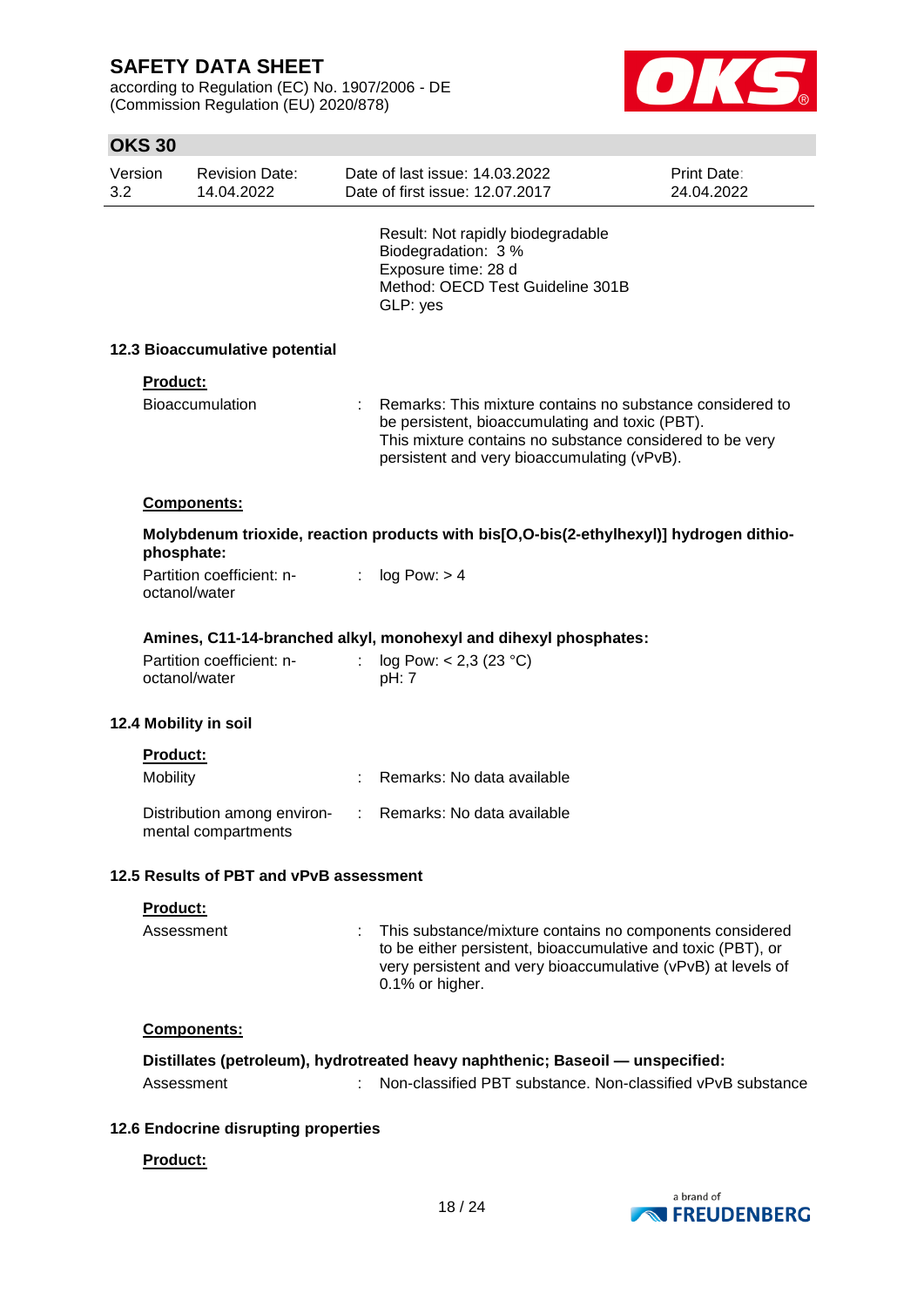**OKS 30**

according to Regulation (EC) No. 1907/2006 - DE (Commission Regulation (EU) 2020/878)



| Version<br>3.2 | <b>Revision Date:</b><br>14.04.2022                |                | Date of last issue: 14.03.2022<br>Date of first issue: 12.07.2017                                                                                                                                                       | <b>Print Date:</b><br>24.04.2022 |
|----------------|----------------------------------------------------|----------------|-------------------------------------------------------------------------------------------------------------------------------------------------------------------------------------------------------------------------|----------------------------------|
|                |                                                    |                | Result: Not rapidly biodegradable<br>Biodegradation: 3 %<br>Exposure time: 28 d<br>Method: OECD Test Guideline 301B<br>GLP: yes                                                                                         |                                  |
|                | 12.3 Bioaccumulative potential                     |                |                                                                                                                                                                                                                         |                                  |
| Product:       |                                                    |                |                                                                                                                                                                                                                         |                                  |
|                | <b>Bioaccumulation</b>                             |                | Remarks: This mixture contains no substance considered to<br>be persistent, bioaccumulating and toxic (PBT).<br>This mixture contains no substance considered to be very<br>persistent and very bioaccumulating (vPvB). |                                  |
|                | <b>Components:</b>                                 |                |                                                                                                                                                                                                                         |                                  |
|                | phosphate:                                         |                | Molybdenum trioxide, reaction products with bis[O,O-bis(2-ethylhexyl)] hydrogen dithio-                                                                                                                                 |                                  |
|                | Partition coefficient: n-<br>octanol/water         | $\mathbb{R}^n$ | log Pow: > 4                                                                                                                                                                                                            |                                  |
|                |                                                    |                | Amines, C11-14-branched alkyl, monohexyl and dihexyl phosphates:                                                                                                                                                        |                                  |
|                | Partition coefficient: n-<br>octanol/water         |                | log Pow: < 2,3 (23 °C)<br>pH: 7                                                                                                                                                                                         |                                  |
|                | 12.4 Mobility in soil                              |                |                                                                                                                                                                                                                         |                                  |
| Product:       |                                                    |                |                                                                                                                                                                                                                         |                                  |
| Mobility       |                                                    |                | Remarks: No data available                                                                                                                                                                                              |                                  |
|                | Distribution among environ-<br>mental compartments |                | Remarks: No data available                                                                                                                                                                                              |                                  |
|                | 12.5 Results of PBT and vPvB assessment            |                |                                                                                                                                                                                                                         |                                  |
| Product:       |                                                    |                |                                                                                                                                                                                                                         |                                  |
|                | Assessment                                         | ÷              | This substance/mixture contains no components considered<br>to be either persistent, bioaccumulative and toxic (PBT), or<br>very persistent and very bioaccumulative (vPvB) at levels of<br>0.1% or higher.             |                                  |
|                | Components:                                        |                |                                                                                                                                                                                                                         |                                  |
|                |                                                    |                | Distillates (petroleum), hydrotreated heavy naphthenic; Baseoil — unspecified:                                                                                                                                          |                                  |
|                | Assessment                                         |                | Non-classified PBT substance. Non-classified vPvB substance                                                                                                                                                             |                                  |
|                | 12.6 Endocrine disrupting properties               |                |                                                                                                                                                                                                                         |                                  |
| Product:       |                                                    |                |                                                                                                                                                                                                                         |                                  |

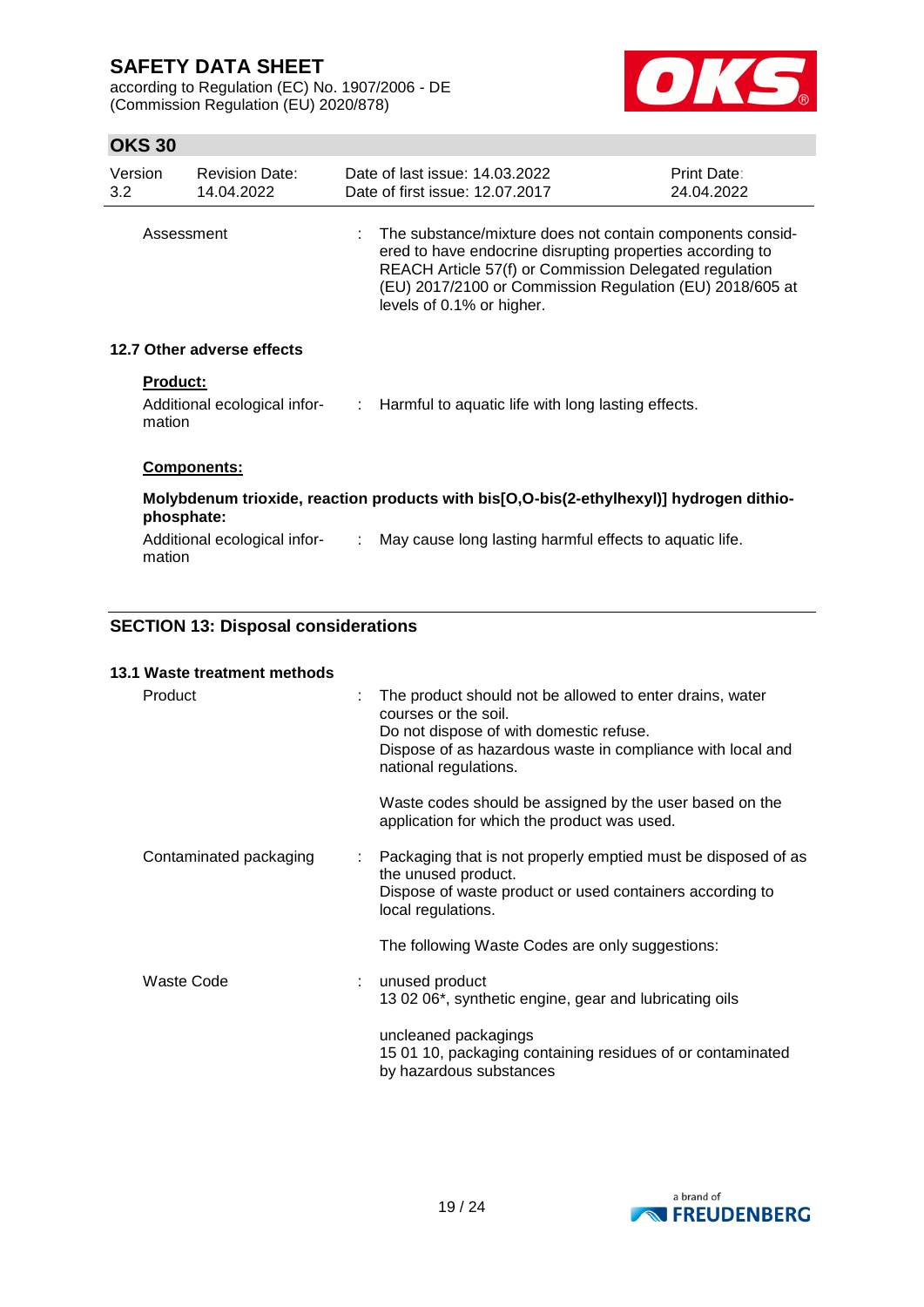according to Regulation (EC) No. 1907/2006 - DE (Commission Regulation (EU) 2020/878)



## **OKS 30**

| Version<br>3.2 | <b>Revision Date:</b><br>14.04.2022                       | Date of last issue: 14.03.2022<br>Date of first issue: 12.07.2017                                                                                                                                                                                                           | Print Date:<br>24.04.2022 |
|----------------|-----------------------------------------------------------|-----------------------------------------------------------------------------------------------------------------------------------------------------------------------------------------------------------------------------------------------------------------------------|---------------------------|
|                | Assessment                                                | : The substance/mixture does not contain components consid-<br>ered to have endocrine disrupting properties according to<br>REACH Article 57(f) or Commission Delegated regulation<br>(EU) 2017/2100 or Commission Regulation (EU) 2018/605 at<br>levels of 0.1% or higher. |                           |
|                | 12.7 Other adverse effects                                |                                                                                                                                                                                                                                                                             |                           |
|                | <b>Product:</b><br>Additional ecological infor-<br>mation | $\therefore$ Harmful to aquatic life with long lasting effects.                                                                                                                                                                                                             |                           |
|                | Components:                                               |                                                                                                                                                                                                                                                                             |                           |
|                | phosphate:                                                | Molybdenum trioxide, reaction products with bis[O,O-bis(2-ethylhexyl)] hydrogen dithio-                                                                                                                                                                                     |                           |

Additional ecological infor- : May cause long lasting harmful effects to aquatic life. mation

### **SECTION 13: Disposal considerations**

### **13.1 Waste treatment methods**

| Product                | The product should not be allowed to enter drains, water<br>courses or the soil.<br>Do not dispose of with domestic refuse.<br>Dispose of as hazardous waste in compliance with local and<br>national regulations. |
|------------------------|--------------------------------------------------------------------------------------------------------------------------------------------------------------------------------------------------------------------|
|                        | Waste codes should be assigned by the user based on the<br>application for which the product was used.                                                                                                             |
| Contaminated packaging | Packaging that is not properly emptied must be disposed of as<br>the unused product.<br>Dispose of waste product or used containers according to<br>local regulations.                                             |
|                        | The following Waste Codes are only suggestions:                                                                                                                                                                    |
| Waste Code             | : unused product<br>13 02 06*, synthetic engine, gear and lubricating oils                                                                                                                                         |
|                        | uncleaned packagings<br>15 01 10, packaging containing residues of or contaminated<br>by hazardous substances                                                                                                      |

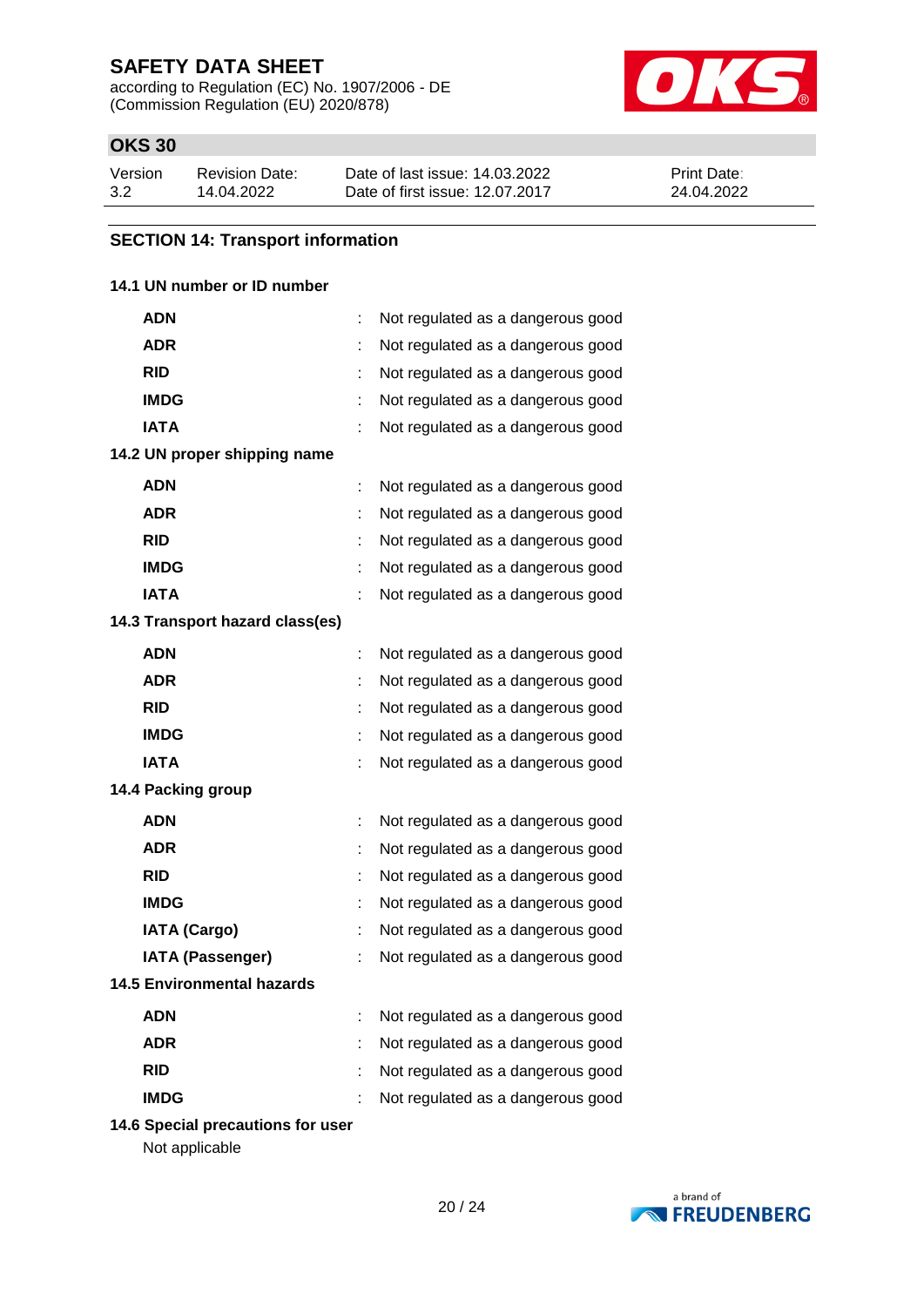according to Regulation (EC) No. 1907/2006 - DE (Commission Regulation (EU) 2020/878)



## **OKS 30**

| Version | Revision Date: | Date of last issue: 14.03.2022  | <b>Print Date:</b> |
|---------|----------------|---------------------------------|--------------------|
| 3.2     | 14.04.2022     | Date of first issue: 12.07.2017 | 24.04.2022         |

### **SECTION 14: Transport information**

### **14.1 UN number or ID number**

| ADN                               | t | Not regulated as a dangerous good |
|-----------------------------------|---|-----------------------------------|
| <b>ADR</b>                        |   | Not regulated as a dangerous good |
| <b>RID</b>                        |   | Not regulated as a dangerous good |
| <b>IMDG</b>                       | t | Not regulated as a dangerous good |
| <b>IATA</b>                       |   | Not regulated as a dangerous good |
| 14.2 UN proper shipping name      |   |                                   |
| <b>ADN</b>                        |   | Not regulated as a dangerous good |
| <b>ADR</b>                        |   | Not regulated as a dangerous good |
| <b>RID</b>                        |   | Not regulated as a dangerous good |
| <b>IMDG</b>                       |   | Not regulated as a dangerous good |
| <b>IATA</b>                       |   | Not regulated as a dangerous good |
| 14.3 Transport hazard class(es)   |   |                                   |
| <b>ADN</b>                        | t | Not regulated as a dangerous good |
| <b>ADR</b>                        | t | Not regulated as a dangerous good |
| <b>RID</b>                        | t | Not regulated as a dangerous good |
| <b>IMDG</b>                       |   | Not regulated as a dangerous good |
| <b>IATA</b>                       |   | Not regulated as a dangerous good |
| 14.4 Packing group                |   |                                   |
| <b>ADN</b>                        | t | Not regulated as a dangerous good |
| <b>ADR</b>                        |   | Not regulated as a dangerous good |
| <b>RID</b>                        |   | Not regulated as a dangerous good |
| <b>IMDG</b>                       | t | Not regulated as a dangerous good |
| <b>IATA (Cargo)</b>               |   | Not regulated as a dangerous good |
| <b>IATA (Passenger)</b>           |   | Not regulated as a dangerous good |
| <b>14.5 Environmental hazards</b> |   |                                   |
| <b>ADN</b>                        |   | Not regulated as a dangerous good |
| <b>ADR</b>                        | t | Not regulated as a dangerous good |
| <b>RID</b>                        |   | Not regulated as a dangerous good |
| <b>IMDG</b>                       |   | Not regulated as a dangerous good |

**14.6 Special precautions for user**

Not applicable

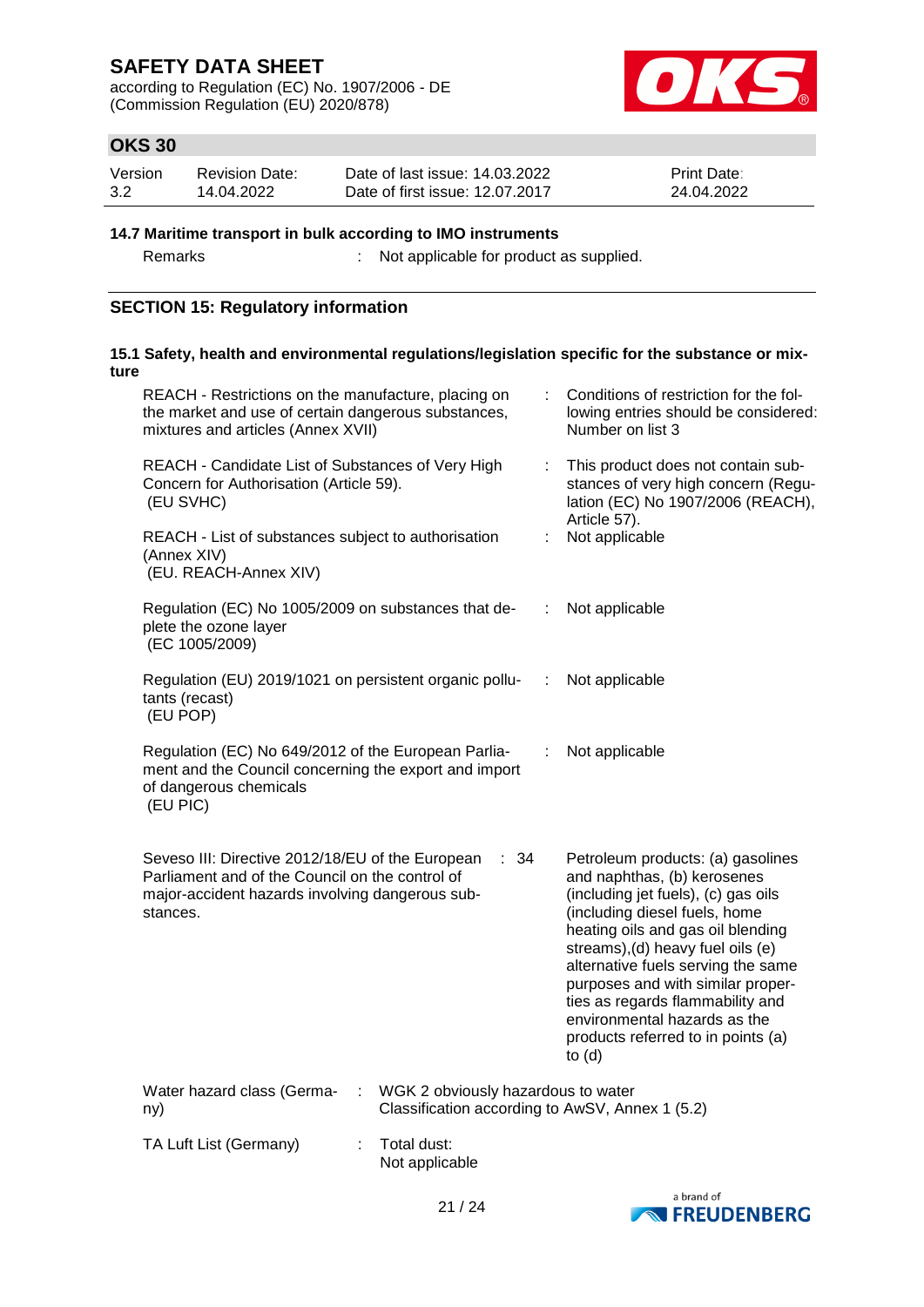according to Regulation (EC) No. 1907/2006 - DE (Commission Regulation (EU) 2020/878)



## **OKS 30**

| Version | <b>Revision Date:</b> | Date of last issue: 14.03.2022  | <b>Print Date:</b> |
|---------|-----------------------|---------------------------------|--------------------|
| 3.2     | 14.04.2022            | Date of first issue: 12.07.2017 | 24.04.2022         |

### **14.7 Maritime transport in bulk according to IMO instruments**

Remarks : Not applicable for product as supplied.

## **SECTION 15: Regulatory information**

| ture | 15.1 Safety, health and environmental regulations/legislation specific for the substance or mix-                                                                           |   |                                                                                                                                                                                                                                                                                                                                                                                                                     |
|------|----------------------------------------------------------------------------------------------------------------------------------------------------------------------------|---|---------------------------------------------------------------------------------------------------------------------------------------------------------------------------------------------------------------------------------------------------------------------------------------------------------------------------------------------------------------------------------------------------------------------|
|      | REACH - Restrictions on the manufacture, placing on<br>the market and use of certain dangerous substances,<br>mixtures and articles (Annex XVII)                           | ÷ | Conditions of restriction for the fol-<br>lowing entries should be considered:<br>Number on list 3                                                                                                                                                                                                                                                                                                                  |
|      | REACH - Candidate List of Substances of Very High<br>Concern for Authorisation (Article 59).<br>(EU SVHC)                                                                  | ÷ | This product does not contain sub-<br>stances of very high concern (Regu-<br>lation (EC) No 1907/2006 (REACH),                                                                                                                                                                                                                                                                                                      |
|      | REACH - List of substances subject to authorisation<br>(Annex XIV)<br>(EU. REACH-Annex XIV)                                                                                | ÷ | Article 57).<br>Not applicable                                                                                                                                                                                                                                                                                                                                                                                      |
|      | Regulation (EC) No 1005/2009 on substances that de-<br>plete the ozone layer<br>(EC 1005/2009)                                                                             | ÷ | Not applicable                                                                                                                                                                                                                                                                                                                                                                                                      |
|      | Regulation (EU) 2019/1021 on persistent organic pollu-<br>tants (recast)<br>(EU POP)                                                                                       | ÷ | Not applicable                                                                                                                                                                                                                                                                                                                                                                                                      |
|      | Regulation (EC) No 649/2012 of the European Parlia-<br>ment and the Council concerning the export and import<br>of dangerous chemicals<br>(EU PIC)                         | ÷ | Not applicable                                                                                                                                                                                                                                                                                                                                                                                                      |
|      | Seveso III: Directive 2012/18/EU of the European<br>: 34<br>Parliament and of the Council on the control of<br>major-accident hazards involving dangerous sub-<br>stances. |   | Petroleum products: (a) gasolines<br>and naphthas, (b) kerosenes<br>(including jet fuels), (c) gas oils<br>(including diesel fuels, home<br>heating oils and gas oil blending<br>streams), (d) heavy fuel oils (e)<br>alternative fuels serving the same<br>purposes and with similar proper-<br>ties as regards flammability and<br>environmental hazards as the<br>products referred to in points (a)<br>to $(d)$ |
|      | WGK 2 obviously hazardous to water<br>Water hazard class (Germa-<br>ny)                                                                                                    |   | Classification according to AwSV, Annex 1 (5.2)                                                                                                                                                                                                                                                                                                                                                                     |
|      | TA Luft List (Germany)<br>Total dust:<br>Not applicable                                                                                                                    |   |                                                                                                                                                                                                                                                                                                                                                                                                                     |

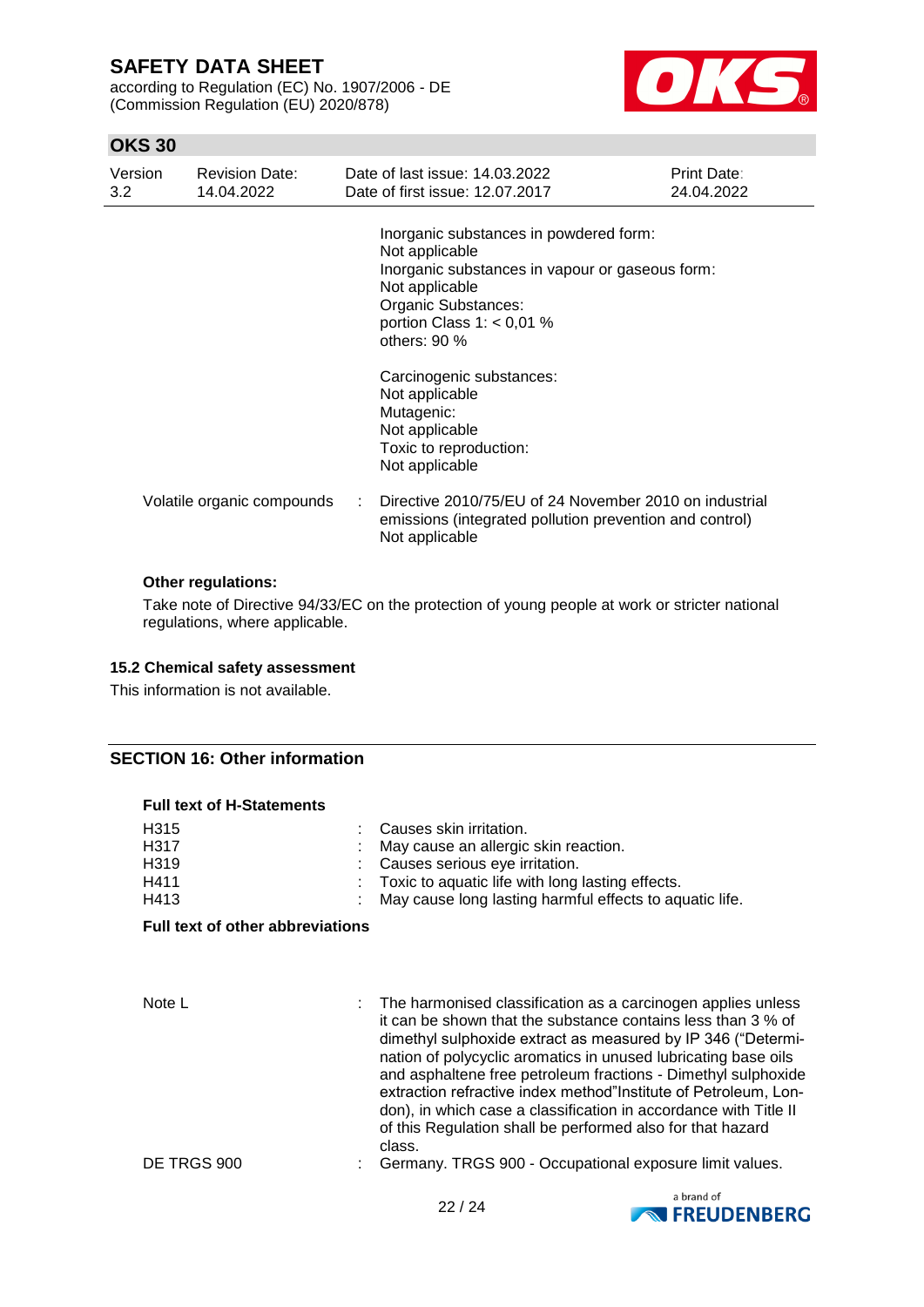according to Regulation (EC) No. 1907/2006 - DE (Commission Regulation (EU) 2020/878)



## **OKS 30**

| Version<br>3.2 <sub>2</sub> | <b>Revision Date:</b><br>14.04.2022 | Date of last issue: 14.03.2022<br>Date of first issue: 12.07.2017                                                                                                                                    | Print Date:<br>24.04.2022 |
|-----------------------------|-------------------------------------|------------------------------------------------------------------------------------------------------------------------------------------------------------------------------------------------------|---------------------------|
|                             |                                     | Inorganic substances in powdered form:<br>Not applicable<br>Inorganic substances in vapour or gaseous form:<br>Not applicable<br>Organic Substances:<br>portion Class $1: < 0.01$ %<br>others: $90%$ |                           |
|                             |                                     | Carcinogenic substances:<br>Not applicable<br>Mutagenic:<br>Not applicable<br>Toxic to reproduction:<br>Not applicable                                                                               |                           |
|                             | Volatile organic compounds          | Directive 2010/75/EU of 24 November 2010 on industrial<br>emissions (integrated pollution prevention and control)<br>Not applicable                                                                  |                           |

#### **Other regulations:**

Take note of Directive 94/33/EC on the protection of young people at work or stricter national regulations, where applicable.

#### **15.2 Chemical safety assessment**

This information is not available.

### **SECTION 16: Other information**

| <b>Full text of H-Statements</b>                                           |                                         |                                                                                                                                                                                                                                                                                                                                                                                                                                                                        |  |  |  |  |
|----------------------------------------------------------------------------|-----------------------------------------|------------------------------------------------------------------------------------------------------------------------------------------------------------------------------------------------------------------------------------------------------------------------------------------------------------------------------------------------------------------------------------------------------------------------------------------------------------------------|--|--|--|--|
| H <sub>315</sub><br>H <sub>3</sub> 17<br>H <sub>3</sub> 19<br>H411<br>H413 |                                         | Causes skin irritation.<br>May cause an allergic skin reaction.<br>Causes serious eye irritation.<br>Toxic to aquatic life with long lasting effects.<br>May cause long lasting harmful effects to aquatic life.                                                                                                                                                                                                                                                       |  |  |  |  |
|                                                                            | <b>Full text of other abbreviations</b> |                                                                                                                                                                                                                                                                                                                                                                                                                                                                        |  |  |  |  |
| Note L                                                                     |                                         | The harmonised classification as a carcinogen applies unless<br>it can be shown that the substance contains less than 3 % of<br>dimethyl sulphoxide extract as measured by IP 346 ("Determi-<br>nation of polycyclic aromatics in unused lubricating base oils<br>and asphaltene free petroleum fractions - Dimethyl sulphoxide<br>extraction refractive index method"Institute of Petroleum, Lon-<br>don), in which case a classification in accordance with Title II |  |  |  |  |
| DE TRGS 900                                                                |                                         | of this Regulation shall be performed also for that hazard<br>class.<br>Germany. TRGS 900 - Occupational exposure limit values.                                                                                                                                                                                                                                                                                                                                        |  |  |  |  |

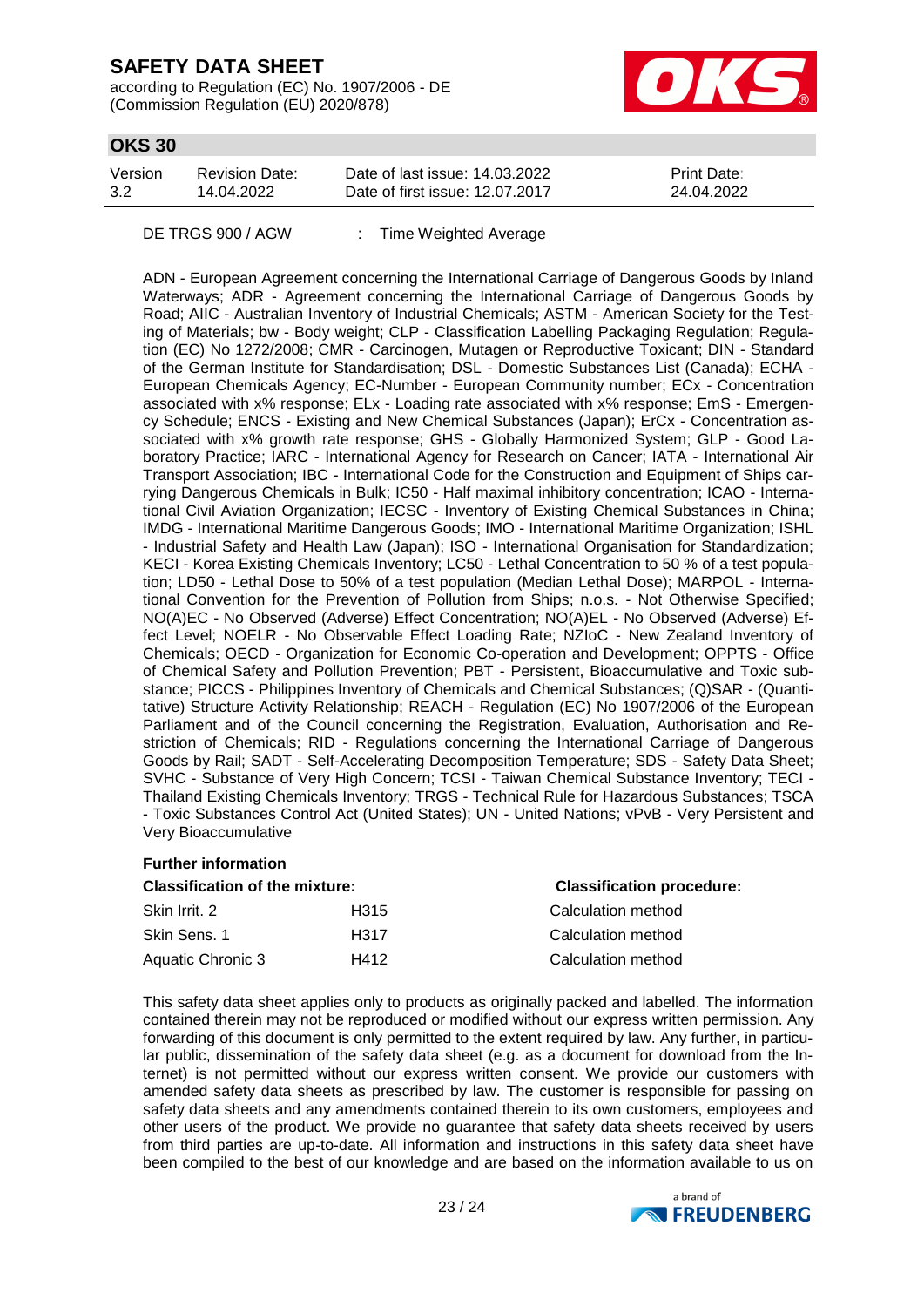according to Regulation (EC) No. 1907/2006 - DE (Commission Regulation (EU) 2020/878)



## **OKS 30**

| Version | Revision Date: | Date of last issue: 14.03.2022  | <b>Print Date:</b> |
|---------|----------------|---------------------------------|--------------------|
| 3.2     | 14.04.2022     | Date of first issue: 12.07.2017 | 24.04.2022         |

DE TRGS 900 / AGW : Time Weighted Average

ADN - European Agreement concerning the International Carriage of Dangerous Goods by Inland Waterways; ADR - Agreement concerning the International Carriage of Dangerous Goods by Road; AIIC - Australian Inventory of Industrial Chemicals; ASTM - American Society for the Testing of Materials; bw - Body weight; CLP - Classification Labelling Packaging Regulation; Regulation (EC) No 1272/2008; CMR - Carcinogen, Mutagen or Reproductive Toxicant; DIN - Standard of the German Institute for Standardisation; DSL - Domestic Substances List (Canada); ECHA - European Chemicals Agency; EC-Number - European Community number; ECx - Concentration associated with x% response; ELx - Loading rate associated with x% response; EmS - Emergency Schedule; ENCS - Existing and New Chemical Substances (Japan); ErCx - Concentration associated with x% growth rate response; GHS - Globally Harmonized System; GLP - Good Laboratory Practice; IARC - International Agency for Research on Cancer; IATA - International Air Transport Association; IBC - International Code for the Construction and Equipment of Ships carrying Dangerous Chemicals in Bulk; IC50 - Half maximal inhibitory concentration; ICAO - International Civil Aviation Organization; IECSC - Inventory of Existing Chemical Substances in China; IMDG - International Maritime Dangerous Goods; IMO - International Maritime Organization; ISHL - Industrial Safety and Health Law (Japan); ISO - International Organisation for Standardization; KECI - Korea Existing Chemicals Inventory; LC50 - Lethal Concentration to 50 % of a test population; LD50 - Lethal Dose to 50% of a test population (Median Lethal Dose); MARPOL - International Convention for the Prevention of Pollution from Ships; n.o.s. - Not Otherwise Specified; NO(A)EC - No Observed (Adverse) Effect Concentration; NO(A)EL - No Observed (Adverse) Effect Level; NOELR - No Observable Effect Loading Rate; NZIoC - New Zealand Inventory of Chemicals; OECD - Organization for Economic Co-operation and Development; OPPTS - Office of Chemical Safety and Pollution Prevention; PBT - Persistent, Bioaccumulative and Toxic substance; PICCS - Philippines Inventory of Chemicals and Chemical Substances; (Q)SAR - (Quantitative) Structure Activity Relationship; REACH - Regulation (EC) No 1907/2006 of the European Parliament and of the Council concerning the Registration, Evaluation, Authorisation and Restriction of Chemicals; RID - Regulations concerning the International Carriage of Dangerous Goods by Rail; SADT - Self-Accelerating Decomposition Temperature; SDS - Safety Data Sheet; SVHC - Substance of Very High Concern; TCSI - Taiwan Chemical Substance Inventory; TECI - Thailand Existing Chemicals Inventory; TRGS - Technical Rule for Hazardous Substances; TSCA - Toxic Substances Control Act (United States); UN - United Nations; vPvB - Very Persistent and Very Bioaccumulative

### **Further information**

| <b>Classification of the mixture:</b> |      | <b>Classification procedure:</b> |
|---------------------------------------|------|----------------------------------|
| Skin Irrit. 2                         | H315 | Calculation method               |
| Skin Sens. 1                          | H317 | Calculation method               |
| Aquatic Chronic 3                     | H412 | Calculation method               |

This safety data sheet applies only to products as originally packed and labelled. The information contained therein may not be reproduced or modified without our express written permission. Any forwarding of this document is only permitted to the extent required by law. Any further, in particular public, dissemination of the safety data sheet (e.g. as a document for download from the Internet) is not permitted without our express written consent. We provide our customers with amended safety data sheets as prescribed by law. The customer is responsible for passing on safety data sheets and any amendments contained therein to its own customers, employees and other users of the product. We provide no guarantee that safety data sheets received by users from third parties are up-to-date. All information and instructions in this safety data sheet have been compiled to the best of our knowledge and are based on the information available to us on